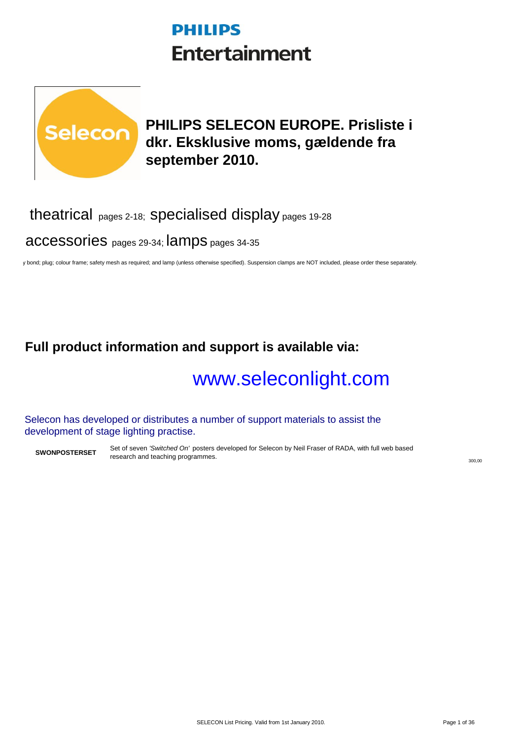## **PHILIPS Entertainment**



## **PHILIPS SELECON EUROPE. Prisliste i dkr. Eksklusive moms, gældende fra september 2010.**

## theatrical pages 2-18; specialised display pages 19-28

accessories pages 29-34; lamps pages 34-35

y bond; plug; colour frame; safety mesh as required; and lamp (unless otherwise specified). Suspension clamps are NOT included, please order these separately.

## **Full product information and support is available via:**

# [www.seleconlight.com](http://www.seleconlight.com/)

Selecon has developed or distributes a number of support materials to assist the development of stage lighting practise.

**SWONPOSTERSET** Set of seven *'Switched On'* posters developed for Selecon by Neil Fraser of RADA, with full web based research and teaching programmes.

300,00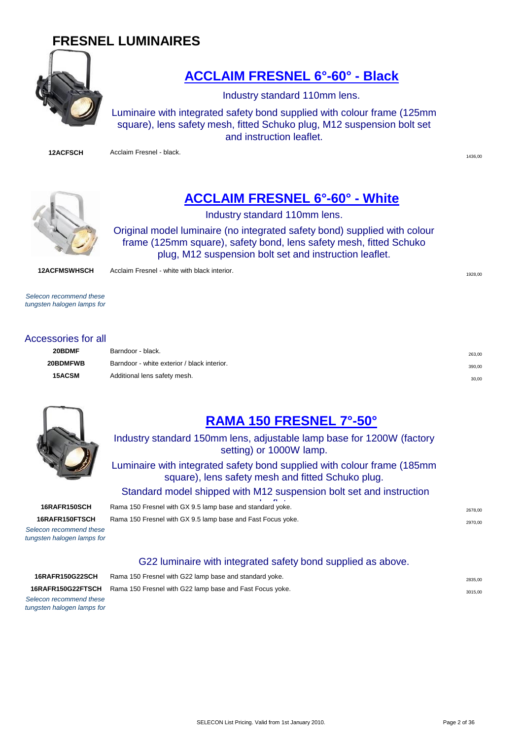## **FRESNEL LUMINAIRES**



## **[ACCLAIM FRESNEL 6°-60° - Black](http://www.seleconlight.com/acclaimfresnel)**

Industry standard 110mm lens.

Luminaire with integrated safety bond supplied with colour frame (125mm square), lens safety mesh, fitted Schuko plug, M12 suspension bolt set and instruction leaflet.

**12ACFSCH** Acclaim Fresnel - black.

1436,00



## **[ACCLAIM FRESNEL 6°-60° - White](http://www.seleconlight.com/index.php?option=com_virtuemart&page=shop.product_details&flypage=flypage.p1&category_id=8&product_id=22)**

Industry standard 110mm lens.

Original model luminaire (no integrated safety bond) supplied with colour frame (125mm square), safety bond, lens safety mesh, fitted Schuko plug, M12 suspension bolt set and instruction leaflet.

**12ACFMSWHSCH** Acclaim Fresnel - white with black interior.

*Selecon recommend these tungsten halogen lamps for* 

#### Accessories for all

| 20BDMF   | Barndoor - black.                           | 263,00 |
|----------|---------------------------------------------|--------|
| 20BDMFWB | Barndoor - white exterior / black interior. | 390,00 |
| 15ACSM   | Additional lens safety mesh.                | 30.00  |

1928,00



## **[RAMA 150 FRESNEL 7°-50°](http://www.seleconlight.com/index.php?option=com_virtuemart&page=shop.product_details&flypage=flypage.p1&category_id=8&product_id=62)**

Industry standard 150mm lens, adjustable lamp base for 1200W (factory setting) or 1000W lamp.

Luminaire with integrated safety bond supplied with colour frame (185mm square), lens safety mesh and fitted Schuko plug.

Standard model shipped with M12 suspension bolt set and instruction

**16RAFR150SCH** Rama 150 Fresnel with GX 9.5 lamp base and standard yoke. **16RAFR150FTSCH** Rama 150 Fresnel with GX 9.5 lamp base and Fast Focus yoke.

*Selecon recommend these tungsten halogen lamps for* 

G22 luminaire with integrated safety bond supplied as above.

*Selecon recommend these tungsten halogen lamps for* 

| <b>16RAFR150G22SCH</b> | Rama 150 Fresnel with G22 lamp base and standard yoke.                            | 2835.00 |
|------------------------|-----------------------------------------------------------------------------------|---------|
|                        | <b>16RAFR150G22FTSCH</b> Rama 150 Fresnel with G22 lamp base and Fast Focus yoke. | 3015.00 |
|                        |                                                                                   |         |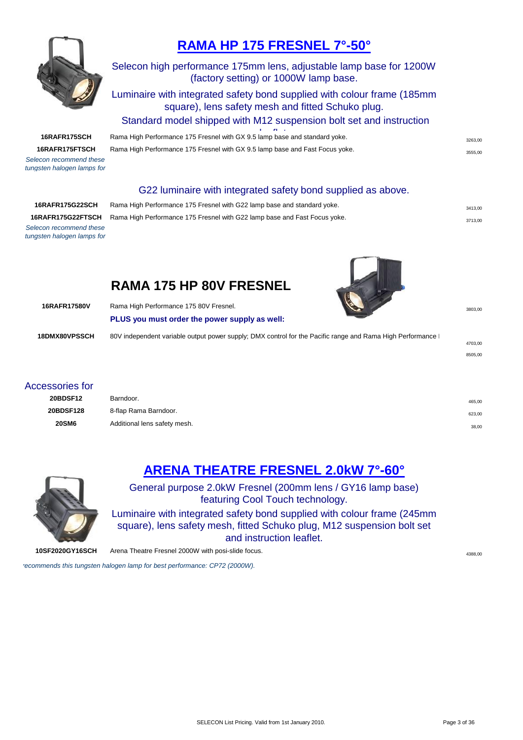

## **[R](http://www.seleconlight.com/index.php?option=com_virtuemart&page=shop.product_details&flypage=flypage.p1&category_id=8&product_id=64)AMA HP 175 FRESNEL 7°-50°**

#### Selecon high performance 175mm lens, adjustable lamp base for 1200W (factory setting) or 1000W lamp base.

#### Luminaire with integrated safety bond supplied with colour frame (185mm square), lens safety mesh and fitted Schuko plug.

Standard model shipped with M12 suspension bolt set and instruction

#### 16RAFR175SCH Rama High Performance 175 Fresnel with GX 9.5 lamp base and standard yoke. **16RAFR175FTSCH** Rama High Performance 175 Fresnel with GX 9.5 lamp base and Fast Focus yoke.

*Selecon recommend these tungsten halogen lamps for* 

#### G22 luminaire with integrated safety bond supplied as above.

| 16RAFR175G22SCH                                  |
|--------------------------------------------------|
| 16RAFR175G22FTSCH                                |
| Selecon recommend these                          |
| force and faces that the season the company from |

Rama High Performance 175 Fresnel with G22 lamp base and standard yoke. **3413,00** 3413,00 Rama High Performance 175 Fresnel with G22 lamp base and Fast Focus yoke. **3713** 80

4703,00 8505,00

*tungsten halogen lamps for* 

## **RAMA 175 HP 80V FRESNEL**

| 16RAFR17580V         | Rama High Performance 175 80V Fresnel.<br>PLUS you must order the power supply as well:                   | 3803.00 |
|----------------------|-----------------------------------------------------------------------------------------------------------|---------|
| <b>18DMX80VPSSCH</b> | 80V independent variable output power supply; DMX control for the Pacific range and Rama High Performance |         |

#### Accessories for

| 20BDSF12     | Barndoor.                    | 465,00 |
|--------------|------------------------------|--------|
| 20BDSF128    | 8-flap Rama Barndoor.        | 623,00 |
| <b>20SM6</b> | Additional lens safety mesh. | 38,00  |



**[A](http://www.seleconlight.com/index.php?option=com_virtuemart&page=shop.product_details&flypage=flypage.p1&category_id=8&product_id=46)RENA THEATRE FRESNEL 2.0kW 7°-60°**

General purpose 2.0kW Fresnel (200mm lens / GY16 lamp base) featuring Cool Touch technology.

Luminaire with integrated safety bond supplied with colour frame (245mm square), lens safety mesh, fitted Schuko plug, M12 suspension bolt set and instruction leaflet.

**10SF2020GY16SCH** Arena Theatre Fresnel 2000W with posi-slide focus.

recommends this tungsten halogen lamp for best performance: CP72 (2000W).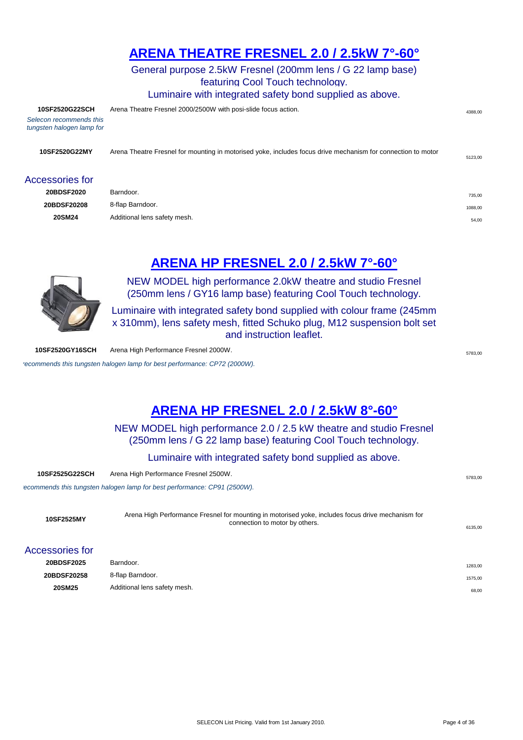## **[AR](http://www.seleconlight.com/index.php?option=com_virtuemart&page=shop.product_details&flypage=flypage.p1&category_id=8&product_id=46)ENA THEATRE FRESNEL 2.0 / 2.5kW 7°-60°**

General purpose 2.5kW Fresnel (200mm lens / G 22 lamp base) featuring Cool Touch technology. Luminaire with integrated safety bond supplied as above.

**10SF2520G22SCH** Arena Theatre Fresnel 2000/2500W with posi-slide focus action. *Selecon recommends this tungsten halogen lamp for*  **10SF2520G22MY** Arena Theatre Fresnel for mounting in motorised yoke, includes focus drive mechanism for connection to motor by others. 5123,00 Accessories for **20BDSF2020** Barndoor. **2008** Barndoor. **20BDSF20208** 8-flap Barndoor. 1088,00 **20SM24** Additional lens safety mesh. 54,00

## **ARENA HP FRESNEL 2.0 / 2.5kW 7°-60°**



NEW MODEL high performance 2.0kW theatre and studio Fresnel (250mm lens / GY16 lamp base) featuring Cool Touch technology.

Luminaire with integrated safety bond supplied with colour frame (245mm x 310mm), lens safety mesh, fitted Schuko plug, M12 suspension bolt set and instruction leaflet.

**10SF2520GY16SCH** Arena High Performance Fresnel 2000W. **STAR ARENA STAR ARENA STAR ARENA** 5783.00

recommends this tungsten halogen lamp for best performance: CP72 (2000W).

## **[A](http://www.seleconlight.com/index.php?option=com_virtuemart&page=shop.product_details&flypage=flypage.p1&category_id=8&product_id=45)RENA HP FRESNEL 2.0 / 2.5kW 8°-60°**

NEW MODEL high performance 2.0 / 2.5 kW theatre and studio Fresnel (250mm lens / G 22 lamp base) featuring Cool Touch technology.

Luminaire with integrated safety bond supplied as above.

| 10SF2525G22SCH  | Arena High Performance Fresnel 2500W.                                                                                               | 5783,00 |
|-----------------|-------------------------------------------------------------------------------------------------------------------------------------|---------|
|                 | ecommends this tungsten halogen lamp for best performance: CP91 (2500W).                                                            |         |
| 10SF2525MY      | Arena High Performance Fresnel for mounting in motorised yoke, includes focus drive mechanism for<br>connection to motor by others. | 6135.00 |
| Accessories for |                                                                                                                                     |         |
| 20BDSF2025      | Barndoor.                                                                                                                           | 1283,00 |
| 20BDSF20258     | 8-flap Barndoor.                                                                                                                    | 1575,00 |
| 20SM25          | Additional lens safety mesh.                                                                                                        | 68,00   |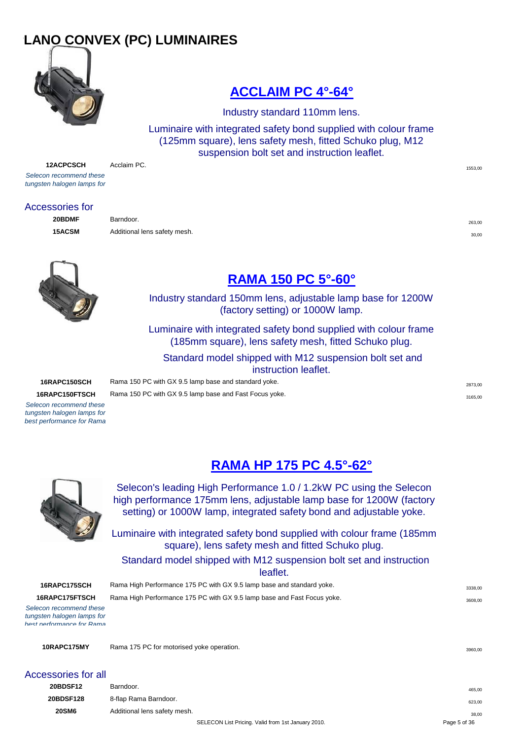## **LANO CONVEX (PC) LUMINAIRES**



## **[ACCLAIM PC 4°-64°](http://www.seleconlight.com/index.php?option=com_virtuemart&page=shop.product_details&flypage=flypage.p1&category_id=17&product_id=23)**

Industry standard 110mm lens.

Luminaire with integrated safety bond supplied with colour frame (125mm square), lens safety mesh, fitted Schuko plug, M12 suspension bolt set and instruction leaflet.

**12ACPCSCH** Acclaim PC. *Selecon recommend these tungsten halogen lamps for* 

#### Accessories for

**20BDMF** Barndoor. 263,00 **15ACSM** Additional lens safety mesh. **30,00** Additional lens safety mesh.



## **[RAMA 150 PC 5°-60°](http://www.seleconlight.com/index.php?option=com_virtuemart&page=shop.product_details&flypage=flypage.p1&category_id=17&product_id=63)**

Industry standard 150mm lens, adjustable lamp base for 1200W (factory setting) or 1000W lamp.

Luminaire with integrated safety bond supplied with colour frame (185mm square), lens safety mesh, fitted Schuko plug.

 Standard model shipped with M12 suspension bolt set and instruction leaflet.

#### **16RAPC150SCH** Rama 150 PC with GX 9.5 lamp base and standard yoke. 2873,000 and standard yoke.

**16RAPC150FTSCH** Rama 150 PC with GX 9.5 lamp base and Fast Focus yoke.

*Selecon recommend these tungsten halogen lamps for best performance for Rama* 

**[RAMA HP 175 PC 4.5°-62°](http://www.seleconlight.com/index.php?option=com_virtuemart&page=shop.product_details&flypage=flypage.p1&category_id=17&product_id=65)**



Selecon's leading High Performance 1.0 / 1.2kW PC using the Selecon high performance 175mm lens, adjustable lamp base for 1200W (factory setting) or 1000W lamp, integrated safety bond and adjustable yoke.

Luminaire with integrated safety bond supplied with colour frame (185mm square), lens safety mesh and fitted Schuko plug.

## Standard model shipped with M12 suspension bolt set and instruction

leaflet.

**16RAPC175SCH** Rama High Performance 175 PC with GX 9.5 lamp base and standard yoke. **16RAPC175FTSCH** Rama High Performance 175 PC with GX 9.5 lamp base and Fast Focus yoke.

*Selecon recommend these tungsten halogen lamps for best performance for Rama* 

**10RAPC175MY** Rama 175 PC for motorised yoke operation. 3960,000 and 3960,000 and 3960,000 and 3960,000 and 3960,000 and 3960,000 and 3960,000 and 3960,000 and 3960,000 and 3960,000 and 3960,000 and 3960,000 and 3960,000 a

| Accessories for all |  |  |
|---------------------|--|--|

| יווט וטט וטטשט  |                              |                                                    |              |
|-----------------|------------------------------|----------------------------------------------------|--------------|
| <b>20BDSF12</b> | Barndoor.                    |                                                    | 465.00       |
| 20BDSF128       | 8-flap Rama Barndoor.        |                                                    | 623,00       |
| <b>20SM6</b>    | Additional lens safety mesh. |                                                    | 38.00        |
|                 |                              | SELECON List Pricing. Valid from 1st January 2010. | Page 5 of 36 |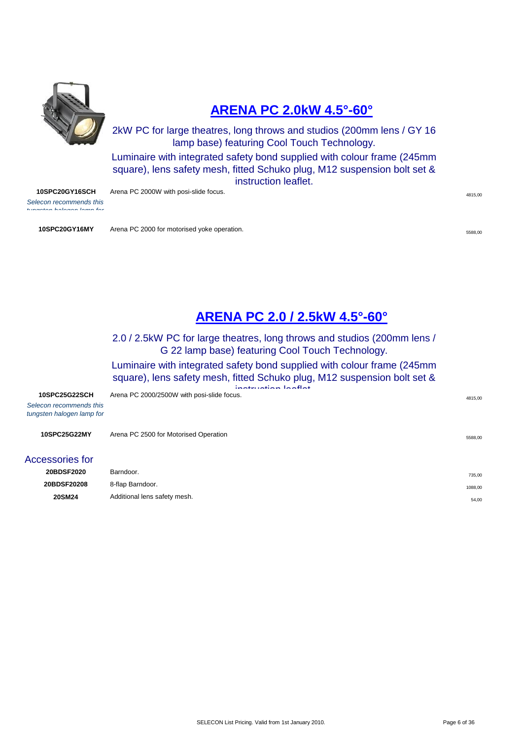

## **[ARENA PC 2.0kW 4.5°-60°](http://www.seleconlight.com/index.php?option=com_virtuemart&page=shop.product_details&flypage=flypage.p1&category_id=17&product_id=47)**

2kW PC for large theatres, long throws and studios (200mm lens / GY 16 lamp base) featuring Cool Touch Technology.

Luminaire with integrated safety bond supplied with colour frame (245mm square), lens safety mesh, fitted Schuko plug, M12 suspension bolt set & instruction leaflet.

**10SPC20GY16SCH** Arena PC 2000W with posi-slide focus. And the state of the state of the state of the state of the state of the state of the state of the state of the state of the state of the state of the state of the sta

*Selecon recommends this tungsten halogen lamp for* 

**10SPC20GY16MY** Arena PC 2000 for motorised yoke operation.

## **[ARENA PC 2.0 / 2.5kW 4.5°-60°](http://www.seleconlight.com/index.php?option=com_virtuemart&page=shop.product_details&flypage=flypage.p1&category_id=17&product_id=47)**

2.0 / 2.5kW PC for large theatres, long throws and studios (200mm lens / G 22 lamp base) featuring Cool Touch Technology.

Luminaire with integrated safety bond supplied with colour frame (245mm square), lens safety mesh, fitted Schuko plug, M12 suspension bolt set &

|                                                      | inotruotion looflot                        |         |
|------------------------------------------------------|--------------------------------------------|---------|
| 10SPC25G22SCH                                        | Arena PC 2000/2500W with posi-slide focus. | 4815,00 |
| Selecon recommends this<br>tungsten halogen lamp for |                                            |         |
| 10SPC25G22MY                                         | Arena PC 2500 for Motorised Operation      | 5588,00 |
| <b>Accessories for</b>                               |                                            |         |
| 20BDSF2020                                           | Barndoor.                                  | 735,00  |
| 20BDSF20208                                          | 8-flap Barndoor.                           | 1088,00 |
| <b>20SM24</b>                                        | Additional lens safety mesh.               | 54,00   |
|                                                      |                                            |         |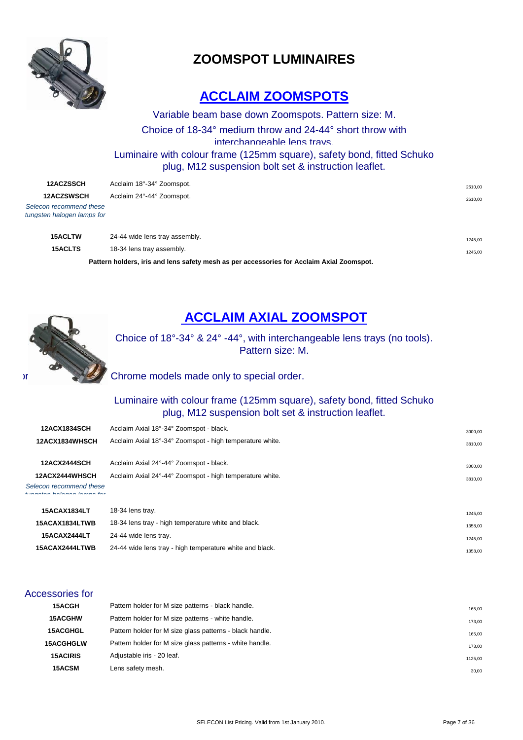

## **ZOOMSPOT LUMINAIRES**

## **ACCLAIM ZOOMSPOTS**

Variable beam base down Zoomspots. Pattern size: M. Choice of 18-34° medium throw and 24-44° short throw with interchangeable lens trays. Luminaire with colour frame (125mm square), safety bond, fitted Schuko plug, M12 suspension bolt set & instruction leaflet.

| <b>12ACZSSCH</b>                                      | Acclaim 18°-34° Zoomspot.                                                                 | 2610,00 |
|-------------------------------------------------------|-------------------------------------------------------------------------------------------|---------|
| <b>12ACZSWSCH</b>                                     | Acclaim 24°-44° Zoomspot.                                                                 | 2610,00 |
| Selecon recommend these<br>tungsten halogen lamps for |                                                                                           |         |
| <b>15ACLTW</b>                                        | 24-44 wide lens tray assembly.                                                            | 1245,00 |
| <b>15ACLTS</b>                                        | 18-34 lens tray assembly.                                                                 | 1245,00 |
|                                                       | Pattern holders, iris and lens safety mesh as per accessories for Acclaim Axial Zoomspot. |         |



## **ACCLAIM AXIAL ZOOMSPOT**

Choice of 18°-34° & 24° -44°, with interchangeable lens trays (no tools). Pattern size: M.

 $\mathcal{L}$  Chrome models made only to special order.

#### Luminaire with colour frame (125mm square), safety bond, fitted Schuko plug, M12 suspension bolt set & instruction leaflet.

| <b>12ACX1834SCH</b>                                   | Acclaim Axial 18°-34° Zoomspot - black.                  | 3000.00 |
|-------------------------------------------------------|----------------------------------------------------------|---------|
| 12ACX1834WHSCH                                        | Acclaim Axial 18°-34° Zoomspot - high temperature white. | 3810.00 |
| <b>12ACX2444SCH</b>                                   | Acclaim Axial 24°-44° Zoomspot - black.                  | 3000.00 |
| <b>12ACX2444WHSCH</b>                                 | Acclaim Axial 24°-44° Zoomspot - high temperature white. | 3810.00 |
| Selecon recommend these<br>tungoton bologon lompo for |                                                          |         |

| <b>15ACAX1834LT</b> | 18-34 lens tray.                                         | 1245.00 |
|---------------------|----------------------------------------------------------|---------|
| 15ACAX1834LTWB      | 18-34 lens tray - high temperature white and black.      | 1358.00 |
| <b>15ACAX2444LT</b> | 24-44 wide lens tray.                                    | 1245,00 |
| 15ACAX2444LTWB      | 24-44 wide lens tray - high temperature white and black. | 1358,00 |
|                     |                                                          |         |

#### Accessories for

| <b>15ACGH</b>    | Pattern holder for M size patterns - black handle.       | 165.00  |
|------------------|----------------------------------------------------------|---------|
| <b>15ACGHW</b>   | Pattern holder for M size patterns - white handle.       | 173,00  |
| <b>15ACGHGL</b>  | Pattern holder for M size glass patterns - black handle. | 165,00  |
| <b>15ACGHGLW</b> | Pattern holder for M size glass patterns - white handle. | 173.00  |
| <b>15ACIRIS</b>  | Adjustable iris - 20 leaf.                               | 1125,00 |
| <b>15ACSM</b>    | Lens safety mesh.                                        | 30,00   |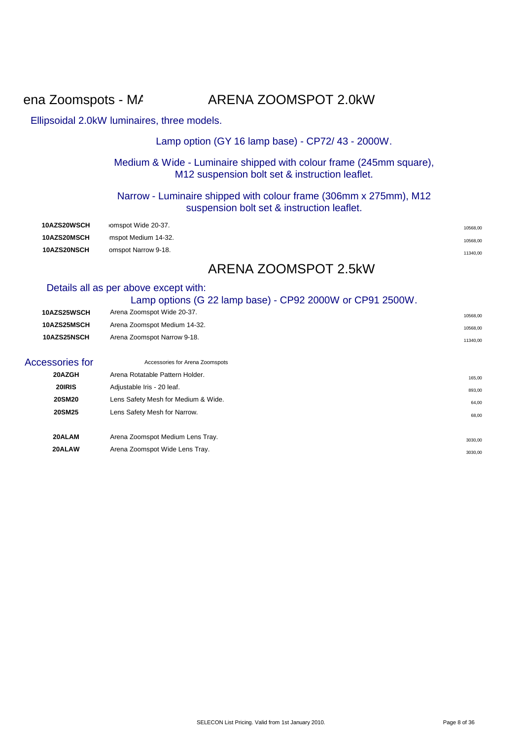## ena Zoomspots - MADE TO ARENA ZOOMSPOT 2.0kW

#### Ellipsoidal 2.0kW luminaires, three models.

#### Lamp option (GY 16 lamp base) - CP72/ 43 - 2000W.

#### Medium & Wide - Luminaire shipped with colour frame (245mm square), M12 suspension bolt set & instruction leaflet.

#### Narrow - Luminaire shipped with colour frame (306mm x 275mm), M12 suspension bolt set & instruction leaflet.

| <b>10AZS20WSCH</b> | omspot Wide 20-37.  | 10568,00 |
|--------------------|---------------------|----------|
| <b>10AZS20MSCH</b> | mspot Medium 14-32. | 10568.00 |
| <b>10AZS20NSCH</b> | omspot Narrow 9-18. | 11340,00 |

## ARENA ZOOMSPOT 2.5kW

#### Details all as per above except with:

|                 | Lamp options (G 22 lamp base) - CP92 2000W or CP91 2500W. |          |
|-----------------|-----------------------------------------------------------|----------|
| 10AZS25WSCH     | Arena Zoomspot Wide 20-37.                                | 10568,00 |
| 10AZS25MSCH     | Arena Zoomspot Medium 14-32.                              | 10568,00 |
| 10AZS25NSCH     | Arena Zoomspot Narrow 9-18.                               | 11340,00 |
| Accessories for | Accessories for Arena Zoomspots                           |          |
| 20AZGH          | Arena Rotatable Pattern Holder.                           | 165,00   |
| 20 RIS          | Adjustable Iris - 20 leaf.                                | 893,00   |
| <b>20SM20</b>   | Lens Safety Mesh for Medium & Wide.                       | 64,00    |
| <b>20SM25</b>   | Lens Safety Mesh for Narrow.                              | 68,00    |
| 20ALAM          | Arena Zoomspot Medium Lens Tray.                          | 3030,00  |
| 20ALAW          | Arena Zoomspot Wide Lens Tray.                            | 3030,00  |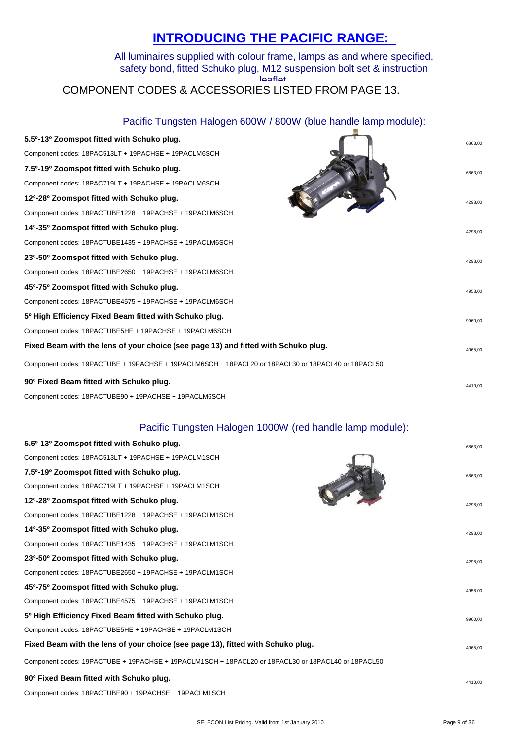## **[I](http://www.seleconlight.com/index.php?option=com_content&task=view&id=160&Itemid=212&lang=en)NTRODUCING THE PACIFIC RANGE:**

#### All luminaires supplied with colour frame, lamps as and where specified, safety bond, fitted Schuko plug, M12 suspension bolt set & instruction leaflet. COMPONENT CODES & ACCESSORIES LISTED FROM PAGE 13.

Pacific Tungsten Halogen 600W / 800W (blue handle lamp module):

| 5.5 <sup>o</sup> -13 <sup>o</sup> Zoomspot fitted with Schuko plug.                                | 6863,00 |
|----------------------------------------------------------------------------------------------------|---------|
| Component codes: 18PAC513LT + 19PACHSE + 19PACLM6SCH                                               |         |
| 7.5º-19º Zoomspot fitted with Schuko plug.                                                         | 6863.00 |
| Component codes: 18PAC719LT + 19PACHSE + 19PACLM6SCH                                               |         |
| 12º-28º Zoomspot fitted with Schuko plug.                                                          | 4298.00 |
| Component codes: 18PACTUBE1228 + 19PACHSE + 19PACLM6SCH                                            |         |
| 14 <sup>0</sup> -35 <sup>0</sup> Zoomspot fitted with Schuko plug.                                 | 4298.00 |
| Component codes: 18PACTUBE1435 + 19PACHSE + 19PACLM6SCH                                            |         |
| 23º-50° Zoomspot fitted with Schuko plug.                                                          | 4298.00 |
| Component codes: 18PACTUBE2650 + 19PACHSE + 19PACLM6SCH                                            |         |
| 45 <sup>0</sup> -75 <sup>0</sup> Zoomspot fitted with Schuko plug.                                 | 4958.00 |
| Component codes: 18PACTUBE4575 + 19PACHSE + 19PACLM6SCH                                            |         |
| 5 <sup>0</sup> High Efficiency Fixed Beam fitted with Schuko plug.                                 | 9960.00 |
| Component codes: 18PACTUBE5HE + 19PACHSE + 19PACLM6SCH                                             |         |
| Fixed Beam with the lens of your choice (see page 13) and fitted with Schuko plug.                 | 4065.00 |
| Component codes: 19PACTUBE + 19PACHSE + 19PACLM6SCH + 18PACL20 or 18PACL30 or 18PACL40 or 18PACL50 |         |
| 90° Fixed Beam fitted with Schuko plug.                                                            | 4410,00 |
| Component codes: 18PACTUBE90 + 19PACHSE + 19PACLM6SCH                                              |         |

#### Pacific Tungsten Halogen 1000W (red handle lamp module):

| 5.5 <sup>0</sup> -13 <sup>0</sup> Zoomspot fitted with Schuko plug.                                | 6863,00 |
|----------------------------------------------------------------------------------------------------|---------|
| Component codes: 18PAC513LT + 19PACHSE + 19PACLM1SCH                                               |         |
| 7.5 <sup>0</sup> -19 <sup>0</sup> Zoomspot fitted with Schuko plug.                                | 6863.00 |
| Component codes: 18PAC719LT + 19PACHSE + 19PACLM1SCH                                               |         |
| 12 <sup>0</sup> -28 <sup>0</sup> Zoomspot fitted with Schuko plug.                                 | 4298.00 |
| Component codes: 18PACTUBE1228 + 19PACHSE + 19PACLM1SCH                                            |         |
| 14º-35º Zoomspot fitted with Schuko plug.                                                          | 4298,00 |
| Component codes: 18PACTUBE1435 + 19PACHSE + 19PACLM1SCH                                            |         |
| 23º-50º Zoomspot fitted with Schuko plug.                                                          | 4298.00 |
| Component codes: 18PACTUBE2650 + 19PACHSE + 19PACLM1SCH                                            |         |
| 45 <sup>o</sup> -75 <sup>o</sup> Zoomspot fitted with Schuko plug.                                 | 4958.00 |
| Component codes: 18PACTUBE4575 + 19PACHSE + 19PACLM1SCH                                            |         |
| 5 <sup>o</sup> High Efficiency Fixed Beam fitted with Schuko plug.                                 | 9960,00 |
| Component codes: 18PACTUBE5HE + 19PACHSE + 19PACLM1SCH                                             |         |
| Fixed Beam with the lens of your choice (see page 13), fitted with Schuko plug.                    | 4065.00 |
| Component codes: 19PACTUBE + 19PACHSE + 19PACLM1SCH + 18PACL20 or 18PACL30 or 18PACL40 or 18PACL50 |         |
| 90° Fixed Beam fitted with Schuko plug.                                                            | 4410.00 |
| Component codes: 18PACTUBE90 + 19PACHSE + 19PACLM1SCH                                              |         |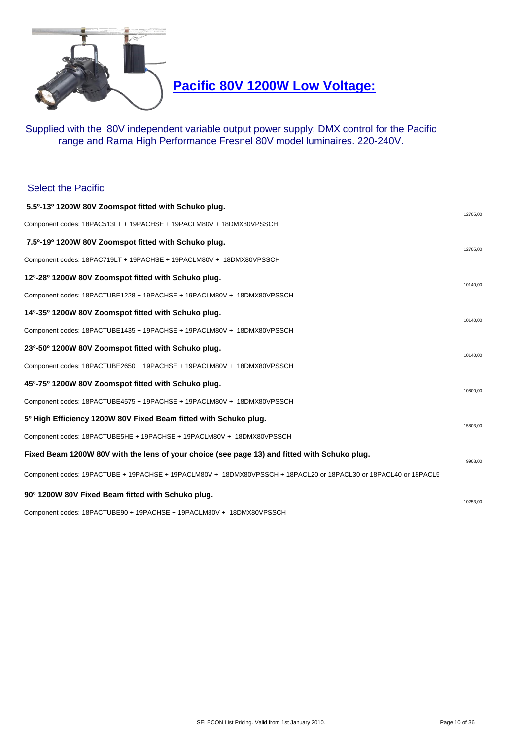

**Pacific 80V 1200W Low Voltage:**

Supplied with the 80V independent variable output power supply; DMX control for the Pacific range and Rama High Performance Fresnel 80V model luminaires. 220-240V.

#### Select the Pacific

| 5.5º-13º 1200W 80V Zoomspot fitted with Schuko plug.                                                             | 12705.00 |
|------------------------------------------------------------------------------------------------------------------|----------|
| Component codes: 18PAC513LT + 19PACHSE + 19PACLM80V + 18DMX80VPSSCH                                              |          |
| 7.5º-19º 1200W 80V Zoomspot fitted with Schuko plug.                                                             | 12705,00 |
| Component codes: 18PAC719LT + 19PACHSE + 19PACLM80V + 18DMX80VPSSCH                                              |          |
| 12º-28º 1200W 80V Zoomspot fitted with Schuko plug.                                                              | 10140,00 |
| Component codes: 18PACTUBE1228 + 19PACHSE + 19PACLM80V + 18DMX80VPSSCH                                           |          |
| 14º-35º 1200W 80V Zoomspot fitted with Schuko plug.                                                              | 10140,00 |
| Component codes: 18PACTUBE1435 + 19PACHSE + 19PACLM80V + 18DMX80VPSSCH                                           |          |
| 23º-50º 1200W 80V Zoomspot fitted with Schuko plug.                                                              | 10140,00 |
| Component codes: 18PACTUBE2650 + 19PACHSE + 19PACLM80V + 18DMX80VPSSCH                                           |          |
| 45º-75º 1200W 80V Zoomspot fitted with Schuko plug.                                                              | 10800.00 |
| Component codes: 18PACTUBE4575 + 19PACHSE + 19PACLM80V + 18DMX80VPSSCH                                           |          |
| 5 <sup>o</sup> High Efficiency 1200W 80V Fixed Beam fitted with Schuko plug.                                     | 15803.00 |
| Component codes: 18PACTUBE5HE + 19PACHSE + 19PACLM80V + 18DMX80VPSSCH                                            |          |
| Fixed Beam 1200W 80V with the lens of your choice (see page 13) and fitted with Schuko plug.                     | 9908.00  |
| Component codes: 19PACTUBE + 19PACHSE + 19PACLM80V + 18DMX80VPSSCH + 18PACL20 or 18PACL30 or 18PACL40 or 18PACL5 |          |
| 90° 1200W 80V Fixed Beam fitted with Schuko plug.                                                                | 10253.00 |
| Component codes: 18PACTUBE90 + 19PACHSE + 19PACLM80V + 18DMX80VPSSCH                                             |          |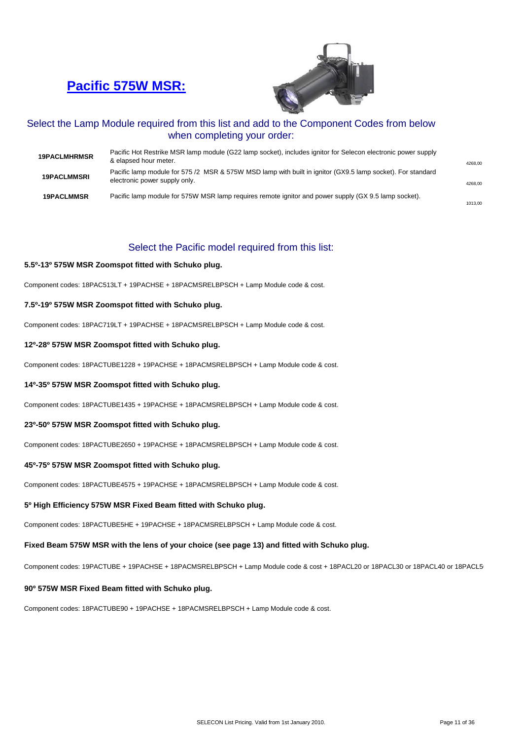## **[Pacific 575W MSR:](http://www.seleconlight.com/index.php?option=com_virtuemart&page=shop.product_details&flypage=flypage.p1&category_id=125&product_id=42&lang=en)**



#### Select the Lamp Module required from this list and add to the Component Codes from below when completing your order:

| <b>19PACLMHRMSR</b> | Pacific Hot Restrike MSR lamp module (G22 lamp socket), includes ignitor for Selecon electronic power supply<br>& elapsed hour meter.       | 4268.00 |
|---------------------|---------------------------------------------------------------------------------------------------------------------------------------------|---------|
| <b>19PACLMMSRI</b>  | Pacific lamp module for 575 /2 MSR & 575W MSD lamp with built in ignitor (GX9.5 lamp socket). For standard<br>electronic power supply only. | 4268.00 |
| <b>19PACLMMSR</b>   | Pacific lamp module for 575W MSR lamp requires remote ignitor and power supply (GX 9.5 lamp socket).                                        | 1013.00 |

#### Select the Pacific model required from this list:

#### **5.5º-13º 575W MSR Zoomspot fitted with Schuko plug.**

Component codes: 18PAC513LT + 19PACHSE + 18PACMSRELBPSCH + Lamp Module code & cost.

#### **7.5º-19º 575W MSR Zoomspot fitted with Schuko plug.**

Component codes: 18PAC719LT + 19PACHSE + 18PACMSRELBPSCH + Lamp Module code & cost.

#### **12º-28º 575W MSR Zoomspot fitted with Schuko plug.**

Component codes: 18PACTUBE1228 + 19PACHSE + 18PACMSRELBPSCH + Lamp Module code & cost.

#### **14º-35º 575W MSR Zoomspot fitted with Schuko plug.**

Component codes: 18PACTUBE1435 + 19PACHSE + 18PACMSRELBPSCH + Lamp Module code & cost.

#### **23º-50º 575W MSR Zoomspot fitted with Schuko plug.**

Component codes: 18PACTUBE2650 + 19PACHSE + 18PACMSRELBPSCH + Lamp Module code & cost.

#### **45º-75º 575W MSR Zoomspot fitted with Schuko plug.**

Component codes: 18PACTUBE4575 + 19PACHSE + 18PACMSRELBPSCH + Lamp Module code & cost.

#### **5º High Efficiency 575W MSR Fixed Beam fitted with Schuko plug.**

Component codes: 18PACTUBE5HE + 19PACHSE + 18PACMSRELBPSCH + Lamp Module code & cost.

#### **Fixed Beam 575W MSR with the lens of your choice (see page 13) and fitted with Schuko plug.**

Component codes: 19PACTUBE + 19PACHSE + 18PACMSRELBPSCH + Lamp Module code & cost + 18PACL20 or 18PACL30 or 18PACL40 or 18PACL50

#### **90º 575W MSR Fixed Beam fitted with Schuko plug.**

Component codes: 18PACTUBE90 + 19PACHSE + 18PACMSRELBPSCH + Lamp Module code & cost.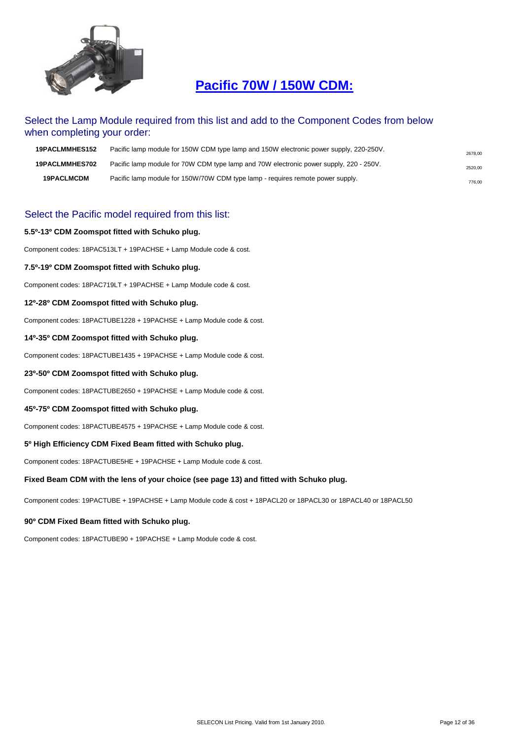

## **Pacific 70W / 150W CDM:**

#### Select the Lamp Module required from this list and add to the Component Codes from below when completing your order:

| <b>19PACLMMHES152</b> | Pacific lamp module for 150W CDM type lamp and 150W electronic power supply, 220-250V. | 2678.00 |
|-----------------------|----------------------------------------------------------------------------------------|---------|
| <b>19PACLMMHES702</b> | Pacific lamp module for 70W CDM type lamp and 70W electronic power supply, 220 - 250V. | 2520,00 |
| <b>19PACLMCDM</b>     | Pacific lamp module for 150W/70W CDM type lamp - requires remote power supply.         | 776.00  |

#### Select the Pacific model required from this list:

#### **5.5º-13º CDM Zoomspot fitted with Schuko plug.**

Component codes: 18PAC513LT + 19PACHSE + Lamp Module code & cost.

#### **7.5º-19º CDM Zoomspot fitted with Schuko plug.**

Component codes: 18PAC719LT + 19PACHSE + Lamp Module code & cost.

#### **12º-28º CDM Zoomspot fitted with Schuko plug.**

Component codes: 18PACTUBE1228 + 19PACHSE + Lamp Module code & cost.

#### **14º-35º CDM Zoomspot fitted with Schuko plug.**

Component codes: 18PACTUBE1435 + 19PACHSE + Lamp Module code & cost.

#### **23º-50º CDM Zoomspot fitted with Schuko plug.**

Component codes: 18PACTUBE2650 + 19PACHSE + Lamp Module code & cost.

#### **45º-75º CDM Zoomspot fitted with Schuko plug.**

Component codes: 18PACTUBE4575 + 19PACHSE + Lamp Module code & cost.

#### **5º High Efficiency CDM Fixed Beam fitted with Schuko plug.**

Component codes: 18PACTUBE5HE + 19PACHSE + Lamp Module code & cost.

#### **Fixed Beam CDM with the lens of your choice (see page 13) and fitted with Schuko plug.**

Component codes: 19PACTUBE + 19PACHSE + Lamp Module code & cost + 18PACL20 or 18PACL30 or 18PACL40 or 18PACL50

#### **90º CDM Fixed Beam fitted with Schuko plug.**

Component codes: 18PACTUBE90 + 19PACHSE + Lamp Module code & cost.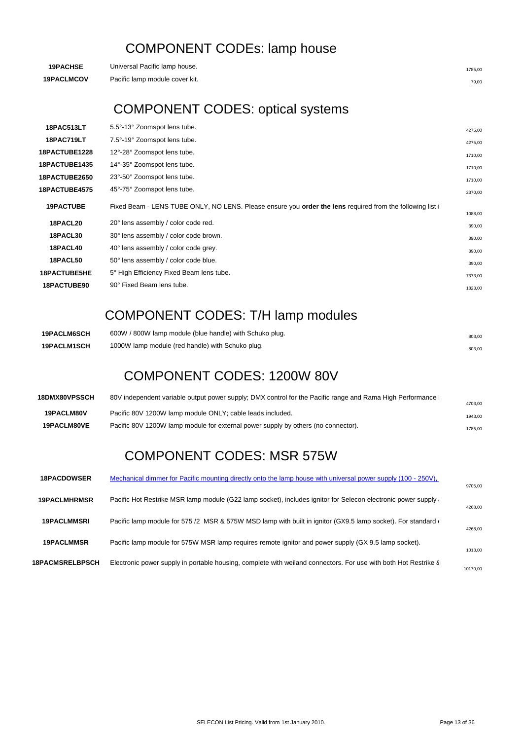## COMPONENT CODEs: lamp house

| <b>19PACHSE</b>   | Universal Pacific lamp house.  | 1785.00 |
|-------------------|--------------------------------|---------|
| <b>19PACLMCOV</b> | Pacific lamp module cover kit. | 79.00   |

## COMPONENT CODES: optical systems

| <b>18PAC513LT</b>   | 5.5°-13° Zoomspot lens tube.                                                                              |         |
|---------------------|-----------------------------------------------------------------------------------------------------------|---------|
|                     |                                                                                                           | 4275,00 |
| <b>18PAC719LT</b>   | 7.5°-19° Zoomspot lens tube.                                                                              | 4275.00 |
| 18PACTUBE1228       | 12°-28° Zoomspot lens tube.                                                                               | 1710,00 |
| 18PACTUBE1435       | 14°-35° Zoomspot lens tube.                                                                               | 1710,00 |
| 18PACTUBE2650       | 23°-50° Zoomspot lens tube.                                                                               | 1710,00 |
| 18PACTUBE4575       | 45°-75° Zoomspot lens tube.                                                                               | 2370,00 |
| <b>19PACTUBE</b>    | Fixed Beam - LENS TUBE ONLY, NO LENS. Please ensure you order the lens required from the following list i |         |
|                     |                                                                                                           | 1088,00 |
| 18PACL20            | 20° lens assembly / color code red.                                                                       | 390,00  |
| 18PACL30            | 30° lens assembly / color code brown.                                                                     | 390,00  |
| 18PACL40            | 40° lens assembly / color code grey.                                                                      | 390,00  |
| 18PACL50            | 50° lens assembly / color code blue.                                                                      | 390,00  |
| <b>18PACTUBE5HE</b> | 5° High Efficiency Fixed Beam lens tube.                                                                  | 7373,00 |
| <b>18PACTUBE90</b>  | 90° Fixed Beam lens tube.                                                                                 | 1823,00 |
|                     |                                                                                                           |         |

## COMPONENT CODES: T/H lamp modules

| <b>19PACLM6SCH</b> | 600W / 800W lamp module (blue handle) with Schuko plug. | 803,00 |
|--------------------|---------------------------------------------------------|--------|
| <b>19PACLM1SCH</b> | 1000W lamp module (red handle) with Schuko plug.        | 803,00 |

## COMPONENT CODES: 1200W 80V

| 18DMX80VPSSCH      | 80V independent variable output power supply; DMX control for the Pacific range and Rama High Performance | 4703.00 |
|--------------------|-----------------------------------------------------------------------------------------------------------|---------|
| <b>19PACLM80V</b>  | Pacific 80V 1200W lamp module ONLY; cable leads included.                                                 | 1943,00 |
| <b>19PACLM80VE</b> | Pacific 80V 1200W lamp module for external power supply by others (no connector).                         | 1785,00 |
|                    |                                                                                                           |         |

## COMPONENT CODES: MSR 575W

| <b>18PACDOWSER</b>     | Mechanical dimmer for Pacific mounting directly onto the lamp house with universal power supply (100 - 250V).         |          |
|------------------------|-----------------------------------------------------------------------------------------------------------------------|----------|
| <b>19PACLMHRMSR</b>    | Pacific Hot Restrike MSR lamp module (G22 lamp socket), includes ignitor for Selecon electronic power supply          | 9705,00  |
|                        |                                                                                                                       | 4268,00  |
| <b>19PACLMMSRI</b>     | Pacific lamp module for 575 /2 MSR & 575W MSD lamp with built in ignitor (GX9.5 lamp socket). For standard $\epsilon$ | 4268.00  |
| <b>19PACLMMSR</b>      | Pacific lamp module for 575W MSR lamp requires remote ignitor and power supply (GX 9.5 lamp socket).                  | 1013.00  |
| <b>18PACMSRELBPSCH</b> | Electronic power supply in portable housing, complete with weiland connectors. For use with both Hot Restrike 8       | 10170.00 |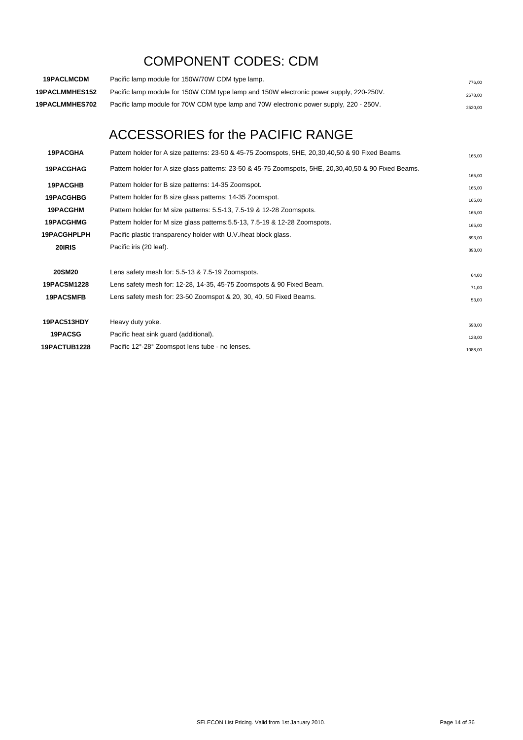## COMPONENT CODES: CDM

| <b>19PACLMCDM</b>     | Pacific lamp module for 150W/70W CDM type lamp.                                        | 776.00  |
|-----------------------|----------------------------------------------------------------------------------------|---------|
| <b>19PACLMMHES152</b> | Pacific lamp module for 150W CDM type lamp and 150W electronic power supply, 220-250V. | 2678.00 |
| <b>19PACLMMHES702</b> | Pacific lamp module for 70W CDM type lamp and 70W electronic power supply, 220 - 250V. | 2520.00 |

## ACCESSORIES for the PACIFIC RANGE

| <b>19PACGHA</b>    | Pattern holder for A size patterns: 23-50 & 45-75 Zoomspots, 5HE, 20,30,40,50 & 90 Fixed Beams.       | 165,00  |
|--------------------|-------------------------------------------------------------------------------------------------------|---------|
| <b>19PACGHAG</b>   | Pattern holder for A size glass patterns: 23-50 & 45-75 Zoomspots, 5HE, 20,30,40,50 & 90 Fixed Beams. | 165,00  |
| <b>19PACGHB</b>    | Pattern holder for B size patterns: 14-35 Zoomspot.                                                   | 165,00  |
| <b>19PACGHBG</b>   | Pattern holder for B size glass patterns: 14-35 Zoomspot.                                             | 165,00  |
| 19PACGHM           | Pattern holder for M size patterns: 5.5-13, 7.5-19 & 12-28 Zoomspots.                                 | 165,00  |
| <b>19PACGHMG</b>   | Pattern holder for M size glass patterns: 5.5-13, 7.5-19 & 12-28 Zoomspots.                           | 165,00  |
| <b>19PACGHPLPH</b> | Pacific plastic transparency holder with U.V./heat block glass.                                       | 893,00  |
| 20IRIS             | Pacific iris (20 leaf).                                                                               | 893,00  |
| <b>20SM20</b>      | Lens safety mesh for: 5.5-13 & 7.5-19 Zoomspots.                                                      | 64,00   |
| <b>19PACSM1228</b> | Lens safety mesh for: 12-28, 14-35, 45-75 Zoomspots & 90 Fixed Beam.                                  | 71,00   |
| 19PACSMFB          | Lens safety mesh for: 23-50 Zoomspot & 20, 30, 40, 50 Fixed Beams.                                    | 53,00   |
| 19PAC513HDY        | Heavy duty yoke.                                                                                      | 698,00  |
| 19PACSG            | Pacific heat sink guard (additional).                                                                 | 128,00  |
| 19PACTUB1228       | Pacific 12°-28° Zoomspot lens tube - no lenses.                                                       | 1088,00 |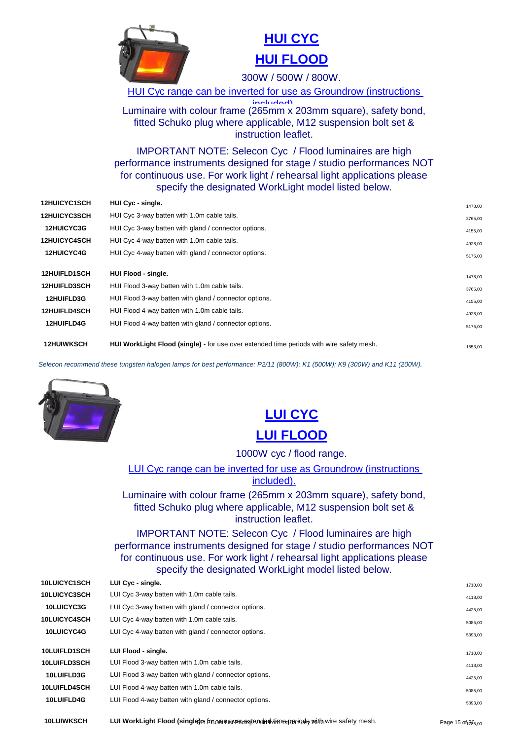

## **[HUI CYC](http://www.seleconlight.com/index.php?option=com_virtuemart&page=shop.product_details&flypage=flypage.p1&category_id=123&product_id=51) [HUI FLOOD](http://www.seleconlight.com/index.php?option=com_virtuemart&page=shop.product_details&flypage=flypage.p1&category_id=123&product_id=52)**

300W / 500W / 800W.

HUI Cyc range can be inverted for use as Groundrow (instructions

Luminaire with colour frame (265mm x 203mm square), safety bond, fitted Schuko plug where applicable, M12 suspension bolt set & instruction leaflet.

IMPORTANT NOTE: Selecon Cyc / Flood luminaires are high performance instruments designed for stage / studio performances NOT for continuous use. For work light / rehearsal light applications please specify the designated WorkLight model listed below.

| <b>12HUICYC1SCH</b> | HUI Cyc - single.                                                                               | 1478,00 |
|---------------------|-------------------------------------------------------------------------------------------------|---------|
| <b>12HUICYC3SCH</b> | HUI Cyc 3-way batten with 1.0m cable tails.                                                     | 3765,00 |
| <b>12HUICYC3G</b>   | HUI Cyc 3-way batten with gland / connector options.                                            | 4155,00 |
| <b>12HUICYC4SCH</b> | HUI Cyc 4-way batten with 1.0m cable tails.                                                     | 4928,00 |
| <b>12HUICYC4G</b>   | HUI Cyc 4-way batten with gland / connector options.                                            | 5175,00 |
| <b>12HUIFLD1SCH</b> | HUI Flood - single.                                                                             | 1478,00 |
| <b>12HUIFLD3SCH</b> | HUI Flood 3-way batten with 1.0m cable tails.                                                   | 3765,00 |
| <b>12HUIFLD3G</b>   | HUI Flood 3-way batten with gland / connector options.                                          | 4155,00 |
| <b>12HUIFLD4SCH</b> | HUI Flood 4-way batten with 1.0m cable tails.                                                   | 4928,00 |
| <b>12HUIFLD4G</b>   | HUI Flood 4-way batten with gland / connector options.                                          | 5175,00 |
| <b>12HUIWKSCH</b>   | <b>HUI WorkLight Flood (single)</b> - for use over extended time periods with wire safety mesh. | 1553,00 |

*Selecon recommend these tungsten halogen lamps for best performance: P2/11 (800W); K1 (500W); K9 (300W) and K11 (200W).*



## **[LUI CYC](http://www.seleconlight.com/index.php?option=com_virtuemart&page=shop.product_details&flypage=flypage.p1&category_id=123&product_id=54) [LUI FLOOD](http://www.seleconlight.com/index.php?option=com_virtuemart&page=shop.product_details&flypage=flypage.p1&category_id=123&product_id=55)**

1000W cyc / flood range.

LUI Cyc range can be inverted for use as Groundrow (instructions included).

Luminaire with colour frame (265mm x 203mm square), safety bond, fitted Schuko plug where applicable, M12 suspension bolt set & instruction leaflet.

IMPORTANT NOTE: Selecon Cyc / Flood luminaires are high performance instruments designed for stage / studio performances NOT for continuous use. For work light / rehearsal light applications please specify the designated WorkLight model listed below.

| 10LUICYC1SCH        | LUI Cyc - single.                                      | 1710,00 |
|---------------------|--------------------------------------------------------|---------|
| 10LUICYC3SCH        | LUI Cyc 3-way batten with 1.0m cable tails.            | 4118,00 |
| <b>10LUICYC3G</b>   | LUI Cyc 3-way batten with gland / connector options.   | 4425,00 |
| 10LUICYC4SCH        | LUI Cyc 4-way batten with 1.0m cable tails.            | 5085,00 |
| 10LUICYC4G          | LUI Cyc 4-way batten with gland / connector options.   | 5393,00 |
| 10LUIFLD1SCH        | LUI Flood - single.                                    | 1710,00 |
| <b>10LUIFLD3SCH</b> | LUI Flood 3-way batten with 1.0m cable tails.          | 4118,00 |
| 10LUIFLD3G          | LUI Flood 3-way batten with gland / connector options. | 4425,00 |
| <b>10LUIFLD4SCH</b> | LUI Flood 4-way batten with 1.0m cable tails.          | 5085,00 |
| 10LUIFLD4G          | LUI Flood 4-way batten with gland / connector options. |         |
|                     |                                                        | 5393,00 |

**10LUIWKSCH LUI WorkLight Flood (single)** - for use over extended time periods with wire safety mesh. 1785,00 SELECON List Pricing. Valid from 1st January 2010. Page 15 of 36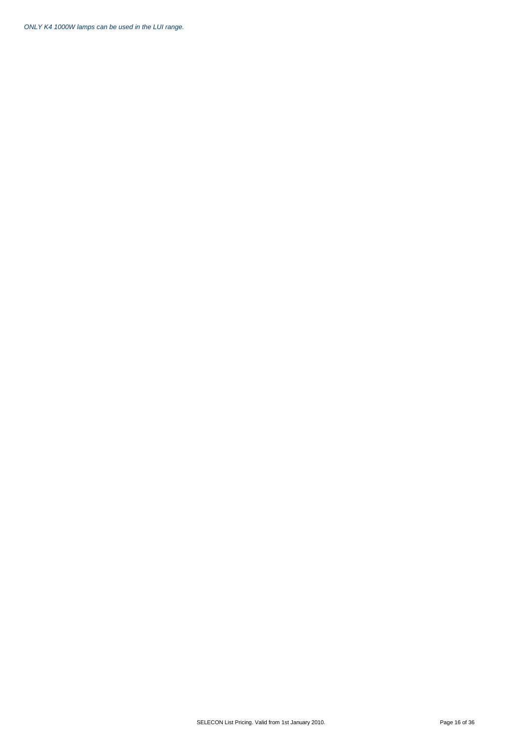*ONLY K4 1000W lamps can be used in the LUI range.*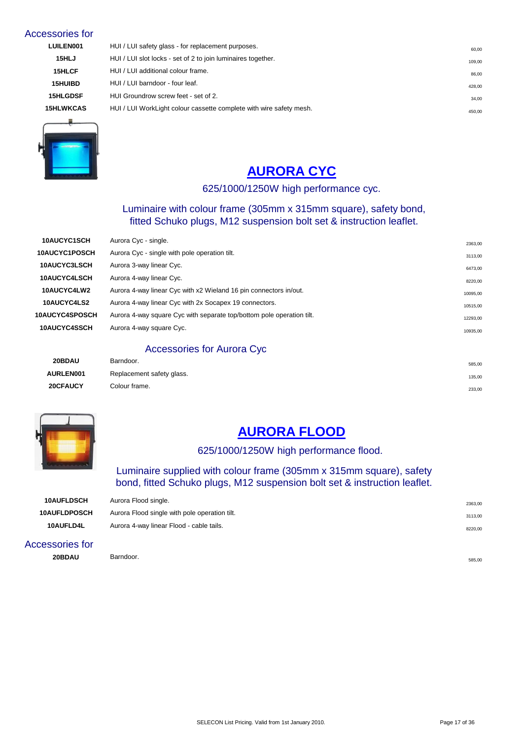#### Accessories for

| <b>LUILEN001</b> | HUI / LUI safety glass - for replacement purposes.                  | 60.00  |
|------------------|---------------------------------------------------------------------|--------|
| 15HLJ            | HUI / LUI slot locks - set of 2 to join luminaires together.        | 109,00 |
| 15HLCF           | HUI / LUI additional colour frame.                                  | 86,00  |
| <b>15HUIBD</b>   | HUI / LUI barndoor - four leaf.                                     | 428,00 |
| <b>15HLGDSF</b>  | HUI Groundrow screw feet - set of 2.                                | 34,00  |
| <b>15HLWKCAS</b> | HUI / LUI WorkLight colour cassette complete with wire safety mesh. | 450,00 |
|                  |                                                                     |        |



## **[AURORA CYC](http://www.seleconlight.com/index.php?option=com_virtuemart&page=shop.product_details&flypage=flypage.p1&category_id=123&product_id=57)**

#### 625/1000/1250W high performance cyc.

#### Luminaire with colour frame (305mm x 315mm square), safety bond, fitted Schuko plugs, M12 suspension bolt set & instruction leaflet.

| 10AUCYC1SCH           | Aurora Cyc - single.                                                  | 2363,00  |
|-----------------------|-----------------------------------------------------------------------|----------|
| 10AUCYC1POSCH         | Aurora Cyc - single with pole operation tilt.                         | 3113,00  |
| <b>10AUCYC3LSCH</b>   | Aurora 3-way linear Cyc.                                              | 6473,00  |
| 10AUCYC4LSCH          | Aurora 4-way linear Cyc.                                              | 8220,00  |
| 10AUCYC4LW2           | Aurora 4-way linear Cyc with x2 Wieland 16 pin connectors in/out.     | 10095,00 |
| 10AUCYC4LS2           | Aurora 4-way linear Cyc with 2x Socapex 19 connectors.                | 10515,00 |
| <b>10AUCYC4SPOSCH</b> | Aurora 4-way square Cyc with separate top/bottom pole operation tilt. | 12293,00 |
| 10AUCYC4SSCH          | Aurora 4-way square Cyc.                                              | 10935,00 |
|                       |                                                                       |          |

#### Accessories for Aurora Cyc

| 20BDAU           | Barndoor.                 | 585,00 |
|------------------|---------------------------|--------|
| <b>AURLEN001</b> | Replacement safety glass. | 135,00 |
| 20CFAUCY         | Colour frame.             | 233,00 |



## **[AURORA FLOOD](http://www.seleconlight.com/index.php?option=com_virtuemart&page=shop.product_details&flypage=flypage.p1&category_id=123&product_id=58)**

#### 625/1000/1250W high performance flood.

#### Luminaire supplied with colour frame (305mm x 315mm square), safety bond, fitted Schuko plugs, M12 suspension bolt set & instruction leaflet.

| <b>10AUFLDSCH</b>   | Aurora Flood single.                          | 2363,00 |
|---------------------|-----------------------------------------------|---------|
| <b>10AUFLDPOSCH</b> | Aurora Flood single with pole operation tilt. | 3113,00 |
| 10AUFLD4L           | Aurora 4-way linear Flood - cable tails.      | 8220,00 |

#### Accessories for **20BDAU** Barndoor. **Example 20BDAU** Barndoor.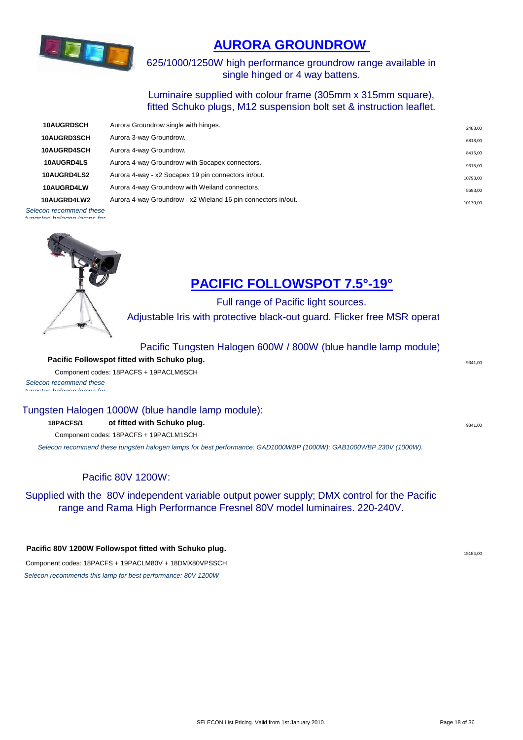

## **[AURORA GROUNDROW](http://www.seleconlight.com/index.php?option=com_virtuemart&page=shop.product_details&flypage=flypage.p1&category_id=123&product_id=59)**

625/1000/1250W high performance groundrow range available in single hinged or 4 way battens.

Luminaire supplied with colour frame (305mm x 315mm square), fitted Schuko plugs, M12 suspension bolt set & instruction leaflet.

| <b>10AUGRDSCH</b> | Aurora Groundrow single with hinges.                          | 2483,00  |
|-------------------|---------------------------------------------------------------|----------|
| 10AUGRD3SCH       | Aurora 3-way Groundrow.                                       | 6818,00  |
| 10AUGRD4SCH       | Aurora 4-way Groundrow.                                       | 8415,00  |
| 10AUGRD4LS        | Aurora 4-way Groundrow with Socapex connectors.               | 9315,00  |
| 10AUGRD4LS2       | Aurora 4-way - x2 Socapex 19 pin connectors in/out.           | 10793,00 |
| 10AUGRD4LW        | Aurora 4-way Groundrow with Weiland connectors.               | 8693,00  |
| 10AUGRD4LW2       | Aurora 4-way Groundrow - x2 Wieland 16 pin connectors in/out. | 10170,00 |
| .                 |                                                               |          |

*Selecon recommend these tungsten halogen lamps for* 



## **[PACIFIC FOLLOWSPOT 7.5°-19°](http://www.seleconlight.com/index.php?option=com_virtuemart&page=shop.product_details&flypage=flypage.p1&category_id=124&product_id=44)**

Full range of Pacific light sources.

Adjustable Iris with protective black-out guard. Flicker free MSR operat

#### Pacific Tungsten Halogen 600W / 800W (blue handle lamp module):

**Pacific Followspot fitted with Schuko plug.** The state of the state of the state of the state of  $9341,00$ Component codes: 18PACFS + 19PACLM6SCH

*Selecon recommend these tungsten halogen lamps for* 

#### Tungsten Halogen 1000W (blue handle lamp module):

#### **Pacific Followspot fitted with Schuko plug. 18PACFS/1** 9341,00

Component codes: 18PACFS + 19PACLM1SCH

*Selecon recommend these tungsten halogen lamps for best performance: GAD1000WBP (1000W); GAB1000WBP 230V (1000W).*

#### Pacific 80V 1200W:

Supplied with the 80V independent variable output power supply; DMX control for the Pacific range and Rama High Performance Fresnel 80V model luminaires. 220-240V.

#### **Pacific 80V 1200W Followspot fitted with Schuko plug.**

Component codes: 18PACFS + 19PACLM80V + 18DMX80VPSSCH *Selecon recommends this lamp for best performance: 80V 1200W*

15184,00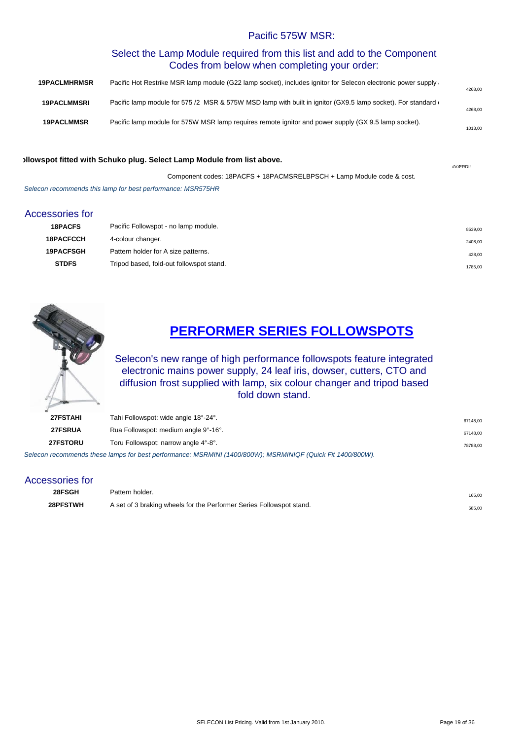#### Pacific 575W MSR:

#### Select the Lamp Module required from this list and add to the Component Codes from below when completing your order:

| <b>19PACLMHRMSR</b> | Pacific Hot Restrike MSR lamp module (G22 lamp socket), includes ignitor for Selecon electronic power supply          | 4268,00 |
|---------------------|-----------------------------------------------------------------------------------------------------------------------|---------|
| <b>19PACLMMSRI</b>  | Pacific lamp module for 575 /2 MSR & 575W MSD lamp with built in ignitor (GX9.5 lamp socket). For standard $\epsilon$ | 4268,00 |
| <b>19PACLMMSR</b>   | Pacific lamp module for 575W MSR lamp requires remote ignitor and power supply (GX 9.5 lamp socket).                  | 1013,00 |

#### **Pacific MSR Followspot fitted with Schuko plug. Select Lamp Module from list above.**

Component codes: 18PACFS + 18PACMSRELBPSCH + Lamp Module code & cost. *Selecon recommends this lamp for best performance: MSR575HR*

#### Accessories for

| <b>18PACFS</b>   | Pacific Followspot - no lamp module.     | 8539,00 |
|------------------|------------------------------------------|---------|
| <b>18PACFCCH</b> | 4-colour changer.                        | 2408,00 |
| <b>19PACFSGH</b> | Pattern holder for A size patterns.      | 428,00  |
| <b>STDFS</b>     | Tripod based, fold-out followspot stand. | 1785,00 |



## **[PERFORMER SERIES FOLLOWSPOTS](http://www.seleconlight.com/index.php?option=com_content&view=article&id=599&category_id=124)**

Selecon's new range of high performance followspots feature integrated electronic mains power supply, 24 leaf iris, dowser, cutters, CTO and diffusion frost supplied with lamp, six colour changer and tripod based fold down stand.

| <b>27FSTAHI</b> | Tahi Followspot: wide angle 18°-24°.                                                                       | 67148.00 |
|-----------------|------------------------------------------------------------------------------------------------------------|----------|
| 27FSRUA         | Rua Followspot: medium angle 9°-16°.                                                                       | 67148.00 |
| <b>27FSTORU</b> | Toru Followspot: narrow angle 4°-8°.                                                                       | 78788.00 |
|                 | Selecon recommends these lamps for best performance: MSRMINI (1400/800W); MSRMINIQF (Quick Fit 1400/800W). |          |

#### Accessories for

| 28FSGH   | Pattern holder.                                                      | 165,00 |
|----------|----------------------------------------------------------------------|--------|
| 28PFSTWH | A set of 3 braking wheels for the Performer Series Followspot stand. | 585,00 |

#VÆRDI!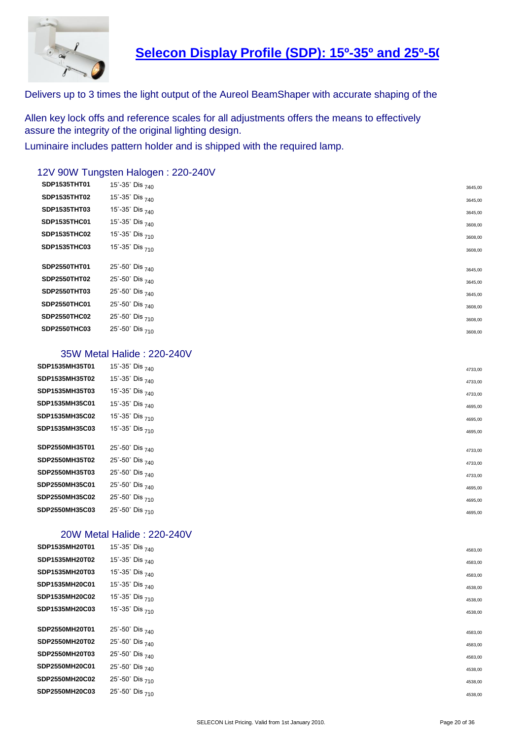

## **[Selecon Display Profile \(SDP\): 15º-35º and](http://www.seleconlight.com/index.php?option=com_virtuemart&page=shop.product_details&flypage=flypage.p1&category_id=126&product_id=10250) 25º-50º**

Delivers up to 3 times the light output of the Aureol BeamShaper with accurate shaping of the

Allen key lock offs and reference scales for all adjustments offers the means to effectively assure the integrity of the original lighting design.

Luminaire includes pattern holder and is shipped with the required lamp.

#### 12V 90W Tungsten Halogen : 220-240V

| <b>SDP1535THT01</b> | 15°-35° Dis $_{740}$                     | 3645,00 |
|---------------------|------------------------------------------|---------|
| SDP1535THT02        | 15°-35° Dis $_{740}$                     | 3645,00 |
| <b>SDP1535THT03</b> | 15°-35° Dis $_{740}$                     | 3645,00 |
| SDP1535THC01        | 15°-35° Dis $_{740}$                     | 3608,00 |
| SDP1535THC02        | 15°-35° Dis $_{710}$                     | 3608,00 |
| SDP1535THC03        | 15°-35° Dis $_{710}$                     | 3608,00 |
|                     |                                          |         |
| SDP2550THT01        | 25°-50° Dis $_{740}$                     | 3645,00 |
| SDP2550THT02        | 25°-50° Dis $_{740}$                     | 3645,00 |
| SDP2550THT03        | 25°-50° Dis $_{740}$                     | 3645,00 |
| SDP2550THC01        | 25°-50° Dis $_{740}$                     | 3608,00 |
| SDP2550THC02        | 25°-50° Dis 710                          | 3608,00 |
| SDP2550THC03        | $25^{\circ}$ -50 $^{\circ}$ Dis $_{710}$ | 3608,00 |
|                     |                                          |         |

#### 35W Metal Halide : 220-240V

| SDP1535MH35T01 | 15°-35° Dis $_{740}$                     | 4733,00 |
|----------------|------------------------------------------|---------|
| SDP1535MH35T02 | 15°-35° Dis $_{740}$                     | 4733,00 |
| SDP1535MH35T03 | 15°-35° Dis $_{740}$                     | 4733,00 |
| SDP1535MH35C01 | 15°-35° Dis $_{740}$                     | 4695,00 |
| SDP1535MH35C02 | 15°-35° Dis $_{710}$                     | 4695,00 |
| SDP1535MH35C03 | 15°-35° Dis $_{710}$                     | 4695,00 |
| SDP2550MH35T01 | 25°-50° Dis $_{740}$                     | 4733,00 |
| SDP2550MH35T02 | 25°-50° Dis $_{740}$                     | 4733,00 |
| SDP2550MH35T03 | 25°-50° Dis $_{740}$                     | 4733,00 |
| SDP2550MH35C01 | 25°-50° Dis $_{740}$                     | 4695,00 |
| SDP2550MH35C02 | 25°-50° Dis $_{710}$                     | 4695,00 |
| SDP2550MH35C03 | $25^{\circ}$ -50 $^{\circ}$ Dis $_{710}$ | 4695,00 |
|                |                                          |         |

#### 20W Metal Halide : 220-240V

| SDP1535MH20T01 | 15°-35° Dis $_{740}$                     | 4583,00 |
|----------------|------------------------------------------|---------|
| SDP1535MH20T02 | 15°-35° Dis $_{740}$                     | 4583,00 |
| SDP1535MH20T03 | 15°-35° Dis $_{740}$                     | 4583,00 |
| SDP1535MH20C01 | 15°-35° Dis $_{740}$                     | 4538,00 |
| SDP1535MH20C02 | 15°-35° Dis $_{710}$                     | 4538,00 |
| SDP1535MH20C03 | 15°-35° Dis $_{710}$                     | 4538,00 |
| SDP2550MH20T01 | 25°-50° Dis $_{740}$                     | 4583,00 |
| SDP2550MH20T02 | 25°-50° Dis $_{740}$                     | 4583,00 |
| SDP2550MH20T03 | 25°-50° Dis <sub>740</sub>               | 4583,00 |
| SDP2550MH20C01 | 25°-50° Dis $_{740}$                     | 4538,00 |
| SDP2550MH20C02 | $25^{\circ}$ -50 $^{\circ}$ Dis $_{710}$ | 4538,00 |
| SDP2550MH20C03 | $25^{\circ}$ -50 $^{\circ}$ Dis $_{710}$ | 4538,00 |
|                |                                          |         |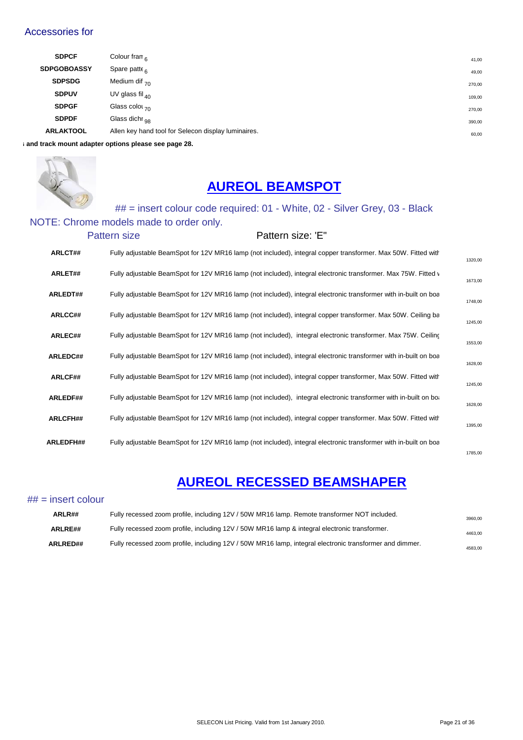#### Accessories for

| <b>SDPCF</b>                                        | Colour fram $_{\rm R}$                              | 41,00  |
|-----------------------------------------------------|-----------------------------------------------------|--------|
| <b>SDPGOBOASSY</b>                                  | Spare patte $_{6}$                                  | 49,00  |
| <b>SDPSDG</b>                                       | Medium dif $_{70}$                                  | 270,00 |
| <b>SDPUV</b>                                        | UV glass fil $_{40}$                                | 109,00 |
| <b>SDPGF</b>                                        | Glass color $70$                                    | 270,00 |
| <b>SDPDF</b>                                        | Glass dichr $_{\alpha}$                             | 390,00 |
| <b>ARLAKTOOL</b>                                    | Allen key hand tool for Selecon display luminaires. | 60,00  |
| and track mount adapter options please see page 28. |                                                     |        |



## **AUREOL BEAMSPOT**

## ## = insert colour code required: 01 - White, 02 - Silver Grey, 03 - Black

#### NOTE: Chrome models made to order only.

| <b>Pattern size</b> | Pattern size: 'E" |
|---------------------|-------------------|
|---------------------|-------------------|

| ARLCT##          | Fully adjustable BeamSpot for 12V MR16 lamp (not included), integral copper transformer. Max 50W. Fitted with    | 1320,00 |
|------------------|------------------------------------------------------------------------------------------------------------------|---------|
| ARLET##          | Fully adjustable BeamSpot for 12V MR16 lamp (not included), integral electronic transformer. Max 75W. Fitted v   | 1673,00 |
| <b>ARLEDT##</b>  | Fully adjustable BeamSpot for 12V MR16 lamp (not included), integral electronic transformer with in-built on boa | 1748,00 |
| <b>ARLCC##</b>   | Fully adjustable BeamSpot for 12V MR16 lamp (not included), integral copper transformer. Max 50W. Ceiling ba     | 1245,00 |
| ARLEC##          | Fully adjustable BeamSpot for 12V MR16 lamp (not included), integral electronic transformer. Max 75W. Ceiling    | 1553,00 |
| ARLEDC##         | Fully adjustable BeamSpot for 12V MR16 lamp (not included), integral electronic transformer with in-built on boa | 1628,00 |
| ARLCF##          | Fully adjustable BeamSpot for 12V MR16 lamp (not included), integral copper transformer, Max 50W. Fitted with    | 1245,00 |
| <b>ARLEDF##</b>  | Fully adjustable BeamSpot for 12V MR16 lamp (not included), integral electronic transformer with in-built on bot | 1628,00 |
| <b>ARLCFH##</b>  | Fully adjustable BeamSpot for 12V MR16 lamp (not included), integral copper transformer. Max 50W. Fitted with    | 1395,00 |
| <b>ARLEDFH##</b> | Fully adjustable BeamSpot for 12V MR16 lamp (not included), integral electronic transformer with in-built on boa |         |
|                  |                                                                                                                  | 1785.00 |

## **[AUREOL RECESSED BEAMSHAPER](http://www.seleconlight.com/index.php?option=com_virtuemart&page=shop.product_details&flypage=flypage.p1&category_id=126&product_id=10185)**

#### $##$  = insert colour

| ARLR##          | Fully recessed zoom profile, including 12V / 50W MR16 lamp. Remote transformer NOT included.            | 3960.00 |
|-----------------|---------------------------------------------------------------------------------------------------------|---------|
| ARLRE##         | Fully recessed zoom profile, including 12V / 50W MR16 lamp & integral electronic transformer.           | 4463,00 |
| <b>ARLRED##</b> | Fully recessed zoom profile, including 12V / 50W MR16 lamp, integral electronic transformer and dimmer. | 4583,00 |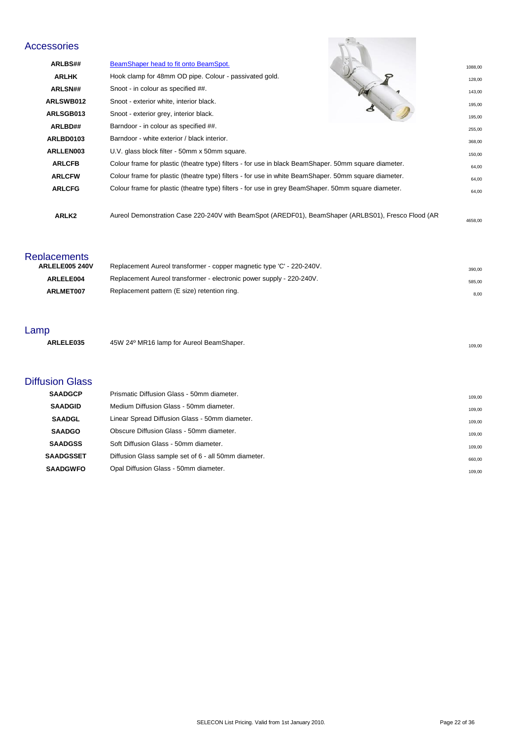## Accessories

| cessories      |                                                                                                      |         |
|----------------|------------------------------------------------------------------------------------------------------|---------|
| <b>ARLBS##</b> | BeamShaper head to fit onto BeamSpot.                                                                | 1088,00 |
| <b>ARLHK</b>   | Hook clamp for 48mm OD pipe. Colour - passivated gold.<br>o                                          | 128,00  |
| <b>ARLSN##</b> | Snoot - in colour as specified ##.                                                                   | 143,00  |
| ARLSWB012      | Snoot - exterior white, interior black.                                                              | 195.00  |
| ARLSGB013      | Snoot - exterior grey, interior black.                                                               | 195,00  |
| ARLBD##        | Barndoor - in colour as specified ##.                                                                | 255,00  |
| ARLBD0103      | Barndoor - white exterior / black interior.                                                          | 368.00  |
| ARLLEN003      | U.V. glass block filter - 50mm x 50mm square.                                                        | 150.00  |
| <b>ARLCFB</b>  | Colour frame for plastic (theatre type) filters - for use in black BeamShaper. 50mm square diameter. | 64,00   |
| <b>ARLCFW</b>  | Colour frame for plastic (theatre type) filters - for use in white BeamShaper. 50mm square diameter. | 64,00   |
| <b>ARLCFG</b>  | Colour frame for plastic (theatre type) filters - for use in grey BeamShaper. 50mm square diameter.  | 64,00   |
| ARLK2          | Aureol Demonstration Case 220-240V with BeamSpot (AREDF01), BeamShaper (ARLBS01), Fresco Flood (AR   | 4658.00 |

#### **Replacements**

| ARLELE005 240V | Replacement Aureol transformer - copper magnetic type 'C' - 220-240V. | 390.00 |
|----------------|-----------------------------------------------------------------------|--------|
| ARLELE004      | Replacement Aureol transformer - electronic power supply - 220-240V.  | 585.00 |
| ARLMET007      | Replacement pattern (E size) retention ring.                          | 8.00   |

#### Lamp

| анір      |                                          |        |
|-----------|------------------------------------------|--------|
| ARLELE035 | 45W 24° MR16 lamp for Aureol BeamShaper. | 109,00 |
|           |                                          |        |
|           |                                          |        |

#### Diffusion Glass

| <b>SAADGCP</b>   | Prismatic Diffusion Glass - 50mm diameter.           | 109.00 |
|------------------|------------------------------------------------------|--------|
| <b>SAADGID</b>   | Medium Diffusion Glass - 50mm diameter.              | 109.00 |
| <b>SAADGL</b>    | Linear Spread Diffusion Glass - 50mm diameter.       | 109.00 |
| <b>SAADGO</b>    | Obscure Diffusion Glass - 50mm diameter.             | 109.00 |
| <b>SAADGSS</b>   | Soft Diffusion Glass - 50mm diameter.                | 109.00 |
| <b>SAADGSSET</b> | Diffusion Glass sample set of 6 - all 50mm diameter. | 660.00 |
| <b>SAADGWFO</b>  | Opal Diffusion Glass - 50mm diameter.                | 109.00 |
|                  |                                                      |        |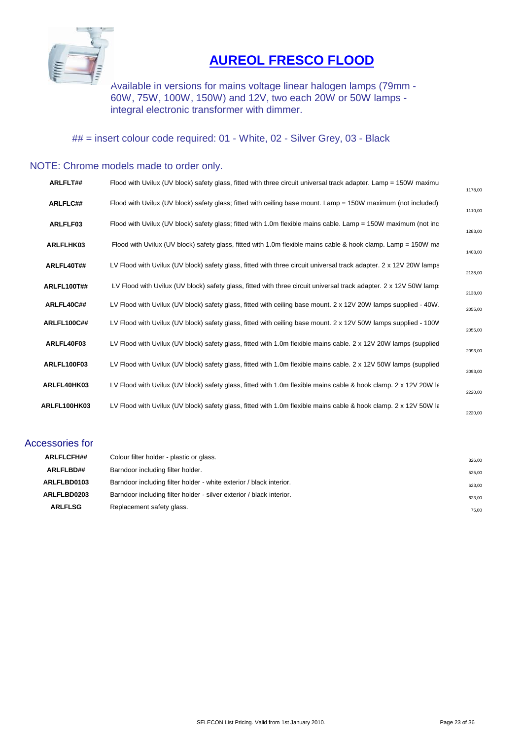

## **[AUREOL FRESCO FLOOD](http://www.seleconlight.com/index.php?option=com_virtuemart&page=shop.product_details&flypage=flypage.p1&category_id=127&product_id=10186)**

Available in versions for mains voltage linear halogen lamps (79mm - 60W, 75W, 100W, 150W) and 12V, two each 20W or 50W lamps integral electronic transformer with dimmer.

## = insert colour code required: 01 - White, 02 - Silver Grey, 03 - Black

#### NOTE: Chrome models made to order only.

| ARLFLT##           | Flood with Uvilux (UV block) safety glass, fitted with three circuit universal track adapter. Lamp = 150W maximu   | 1178,00 |
|--------------------|--------------------------------------------------------------------------------------------------------------------|---------|
| ARLFLC##           | Flood with Uvilux (UV block) safety glass; fitted with ceiling base mount. Lamp = 150W maximum (not included).     | 1110,00 |
| ARLFLF03           | Flood with Uvilux (UV block) safety glass; fitted with 1.0m flexible mains cable. Lamp = 150W maximum (not inc     | 1283,00 |
| ARLFLHK03          | Flood with Uvilux (UV block) safety glass, fitted with 1.0m flexible mains cable & hook clamp. Lamp = 150W ma      | 1403,00 |
| ARLFL40T##         | LV Flood with Uvilux (UV block) safety glass, fitted with three circuit universal track adapter. 2 x 12V 20W lamps | 2138,00 |
| <b>ARLFL100T##</b> | LV Flood with Uvilux (UV block) safety glass, fitted with three circuit universal track adapter. 2 x 12V 50W lamp: | 2138,00 |
| ARLFL40C##         | LV Flood with Uvilux (UV block) safety glass, fitted with ceiling base mount. 2 x 12V 20W lamps supplied - 40W.    | 2055,00 |
| <b>ARLFL100C##</b> | LV Flood with Uvilux (UV block) safety glass, fitted with ceiling base mount. 2 x 12V 50W lamps supplied - 100W    | 2055,00 |
| ARLFL40F03         | LV Flood with Uvilux (UV block) safety glass, fitted with 1.0m flexible mains cable. 2 x 12V 20W lamps (supplied   | 2093,00 |
| ARLFL100F03        | LV Flood with Uvilux (UV block) safety glass, fitted with 1.0m flexible mains cable. 2 x 12V 50W lamps (supplied   | 2093,00 |
| ARLFL40HK03        | LV Flood with Uvilux (UV block) safety glass, fitted with 1.0m flexible mains cable & hook clamp. 2 x 12V 20W la   | 2220,00 |
| ARLFL100HK03       | LV Flood with Uvilux (UV block) safety glass, fitted with 1.0m flexible mains cable & hook clamp. 2 x 12V 50W la   | 2220,00 |

#### Accessories for

| <b>ARLFLCFH##</b> | Colour filter holder - plastic or glass.                             | 326,00 |
|-------------------|----------------------------------------------------------------------|--------|
| <b>ARLFLBD##</b>  | Barndoor including filter holder.                                    | 525.00 |
| ARLFLBD0103       | Barndoor including filter holder - white exterior / black interior.  | 623.00 |
| ARLFLBD0203       | Barndoor including filter holder - silver exterior / black interior. | 623,00 |
| <b>ARLFLSG</b>    | Replacement safety glass.                                            | 75,00  |
|                   |                                                                      |        |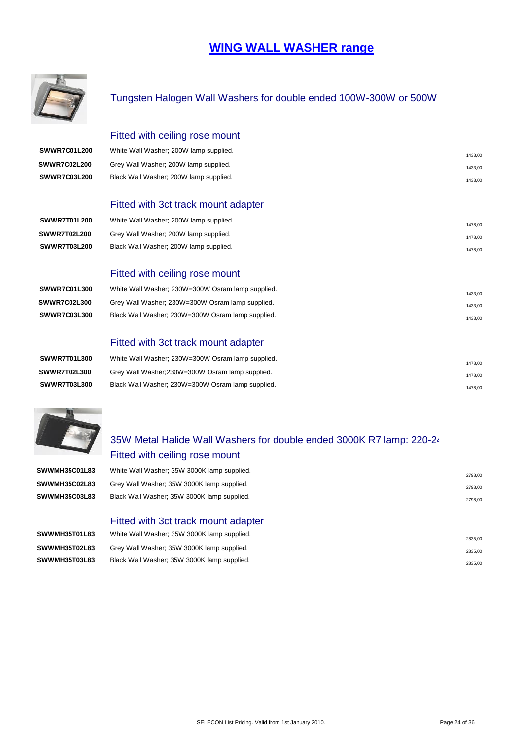## **[WING WALL WASHER range](http://www.seleconlight.com/index.php?option=com_content&view=article&id=599&category_id=127)**



#### Tungsten Halogen Wall Washers for double ended 100W-300W or 500W

#### Fitted with ceiling rose mount

| SWWR7C01L200        | White Wall Washer; 200W lamp supplied. | 1433.00 |
|---------------------|----------------------------------------|---------|
| SWWR7C02L200        | Grey Wall Washer; 200W lamp supplied.  | 1433.00 |
| <b>SWWR7C03L200</b> | Black Wall Washer; 200W lamp supplied. | 1433.00 |

#### Fitted with 3ct track mount adapter

| SWWR7T01L200        | White Wall Washer; 200W lamp supplied. | 1478.00 |
|---------------------|----------------------------------------|---------|
| SWWR7T02L200        | Grey Wall Washer: 200W lamp supplied.  | 1478.00 |
| <b>SWWR7T03L200</b> | Black Wall Washer; 200W lamp supplied. | 1478.00 |

#### Fitted with ceiling rose mount

| SWWR7C01L300        | White Wall Washer: 230W=300W Osram lamp supplied. | 1433.00 |
|---------------------|---------------------------------------------------|---------|
| <b>SWWR7C02L300</b> | Grey Wall Washer; 230W=300W Osram lamp supplied.  | 1433.00 |
| <b>SWWR7C03L300</b> | Black Wall Washer; 230W=300W Osram lamp supplied. | 1433.00 |
|                     |                                                   |         |

#### Fitted with 3ct track mount adapter

| SWWR7T01L300        | White Wall Washer; 230W=300W Osram lamp supplied. | 1478.00 |
|---------------------|---------------------------------------------------|---------|
| <b>SWWR7T02L300</b> | Grey Wall Washer: 230W=300W Osram lamp supplied.  | 1478.00 |
| SWWR7T03L300        | Black Wall Washer: 230W=300W Osram lamp supplied. | 1478.00 |



## 35W Metal Halide Wall Washers for double ended 3000K R7 lamp: 220-24 Fitted with ceiling rose mount

| SWWMH35C01L83 | White Wall Washer: 35W 3000K lamp supplied. | 2798.00 |
|---------------|---------------------------------------------|---------|
| SWWMH35C02L83 | Grey Wall Washer; 35W 3000K lamp supplied.  | 2798.00 |
| SWWMH35C03L83 | Black Wall Washer; 35W 3000K lamp supplied. | 2798,00 |

#### Fitted with 3ct track mount adapter

| SWWMH35T01L83 | White Wall Washer; 35W 3000K lamp supplied. | 2835.00 |
|---------------|---------------------------------------------|---------|
| SWWMH35T02L83 | Grey Wall Washer; 35W 3000K lamp supplied.  | 2835.00 |
| SWWMH35T03L83 | Black Wall Washer; 35W 3000K lamp supplied. | 2835.00 |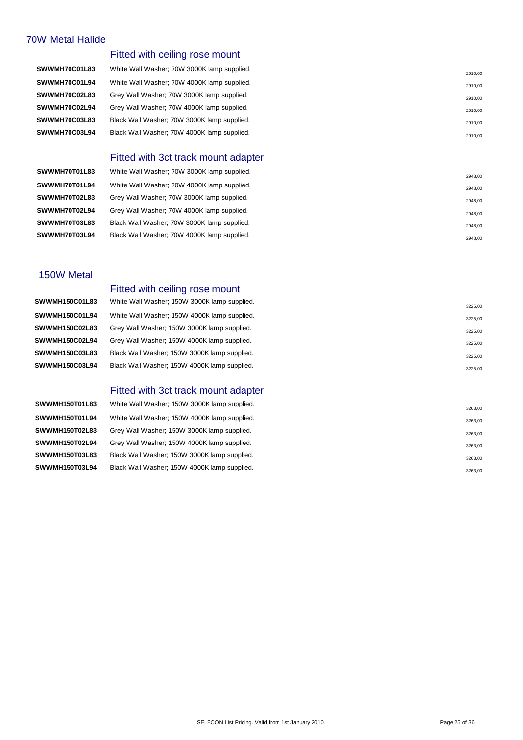#### 70W Metal Halide

#### Fitted with ceiling rose mount

**SWWMH70C01L83** White Wall Washer; 70W 3000K lamp supplied. **SWWMH70C01L94** White Wall Washer; 70W 4000K lamp supplied. 2910,000 and 2910,000 and 2910,000 and 2910,000 and 2910,000 and 2910,000 and 2910,000 and 2910,000 and 2910,000 and 2010,000 and 2010,000 and 2010,000 and 2010,0 **SWWMH70C02L83** Grey Wall Washer; 70W 3000K lamp supplied. SWWMH70C02L94 Grey Wall Washer; 70W 4000K lamp supplied. **SWWMH70C03L83** Black Wall Washer; 70W 3000K lamp supplied. **SWWMH70C03L94** Black Wall Washer; 70W 4000K lamp supplied.

#### Fitted with 3ct track mount adapter

**SWWMH70T01L83** White Wall Washer; 70W 3000K lamp supplied. **SWWMH70T01L94** White Wall Washer; 70W 4000K lamp supplied. 2948.00 **SWWMH70T02L83** Grey Wall Washer; 70W 3000K lamp supplied. 2014 2016 2016 2018 2018 2018 2018 2018 2018 2018 **SWWMH70T02L94** Grey Wall Washer; 70W 4000K lamp supplied. 2948,00 **SWWMH70T03L83** Black Wall Washer; 70W 3000K lamp supplied. 2012 2948.00 **SWWMH70T03L94** Black Wall Washer; 70W 4000K lamp supplied. 2948.00

#### 150W Metal

# **SWWMH150C01L83** White Wall Washer; 150W 3000K lamp supplied.

#### Fitted with ceiling rose mount

**SWWMH150C01L94** White Wall Washer; 150W 4000K lamp supplied. 3225,000 SUPPLIER 1999 3225,000 **SWWMH150C02L83** Grey Wall Washer; 150W 3000K lamp supplied. 3225,00 **SWWMH150C02L94** Grey Wall Washer; 150W 4000K lamp supplied. 3225,000 SUMMH150C02L94 3225,000 **SWWMH150C03L83** Black Wall Washer; 150W 3000K lamp supplied. 3225.00 SMM 3225.00 **SWWMH150C03L94** Black Wall Washer; 150W 4000K lamp supplied. 3225.00 SMMMH150C03L94 Black Wall Washer; 150W 4000K lamp supplied.

#### Fitted with 3ct track mount adapter

**SWWMH150T01L83** White Wall Washer; 150W 3000K lamp supplied. **SWWMH150T01L94** White Wall Washer; 150W 4000K lamp supplied. 3263,000 SMWMH150T01L94 White Wall Washer; 150W 4000K lamp supplied. **SWWMH150T02L83** Grey Wall Washer; 150W 3000K lamp supplied. 3263,000 SUPPERS 100 SUPPERS 100 SUPPERS 100 SUPPERS 100 **SWWMH150T02L94** Grey Wall Washer; 150W 4000K lamp supplied. 3263,000 SWMMH150T02L94 Grey Wall Washer; 150W 4000K lamp supplied. **SWWMH150T03L83** Black Wall Washer; 150W 3000K lamp supplied. 3263,000 SUPPERSET ASSES 2063,000 SUPPERSET ASSESS 2063,000 SUPPERSET ASSESS 2063,000 SUPPERSET ASSESS 2063,000 SUPPERSET ASSESS 2063,000 SUPPERSET ASSESS 2063, **SWWMH150T03L94** Black Wall Washer; 150W 4000K lamp supplied. 3263,000 SMWMH150T03L94 Black Wall Washer; 150W 4000K lamp supplied.

|  |  | 2910,00 |
|--|--|---------|
|  |  | 2910,00 |
|  |  | 2910,00 |
|  |  | 2910,00 |
|  |  |         |
|  |  |         |
|  |  | 2948.00 |

2910,00

3263,00

3225,00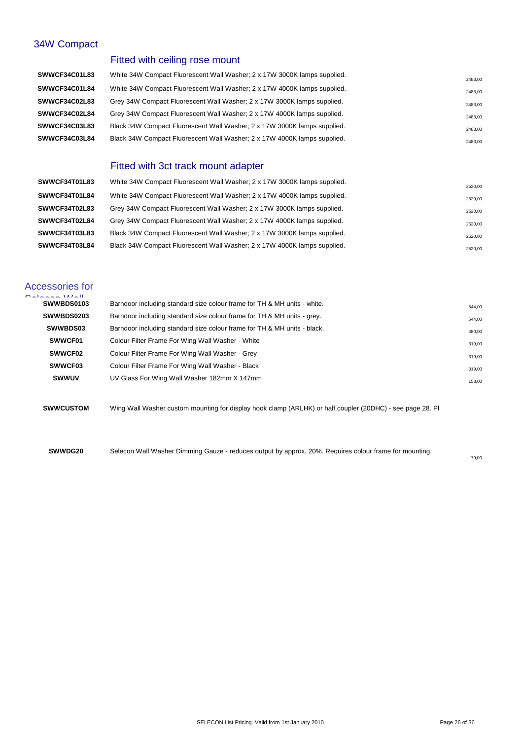#### 34W Compact

#### Fitted with ceiling rose mount

| <b>SWWCF34C01L83</b> | White 34W Compact Fluorescent Wall Washer; 2 x 17W 3000K lamps supplied. | 2483,00 |
|----------------------|--------------------------------------------------------------------------|---------|
| SWWCF34C01L84        | White 34W Compact Fluorescent Wall Washer; 2 x 17W 4000K lamps supplied. | 2483,00 |
| <b>SWWCF34C02L83</b> | Grey 34W Compact Fluorescent Wall Washer: 2 x 17W 3000K lamps supplied.  | 2483.00 |
| <b>SWWCF34C02L84</b> | Grey 34W Compact Fluorescent Wall Washer; 2 x 17W 4000K lamps supplied.  | 2483.00 |
| <b>SWWCF34C03L83</b> | Black 34W Compact Fluorescent Wall Washer; 2 x 17W 3000K lamps supplied. | 2483,00 |
| <b>SWWCF34C03L84</b> | Black 34W Compact Fluorescent Wall Washer; 2 x 17W 4000K lamps supplied. | 2483,00 |

#### Fitted with 3ct track mount adapter

| SWWCF34T01L83 | White 34W Compact Fluorescent Wall Washer; 2 x 17W 3000K lamps supplied. | 2520,00 |
|---------------|--------------------------------------------------------------------------|---------|
| SWWCF34T01L84 | White 34W Compact Fluorescent Wall Washer; 2 x 17W 4000K lamps supplied. | 2520.00 |
| SWWCF34T02L83 | Grey 34W Compact Fluorescent Wall Washer: 2 x 17W 3000K lamps supplied.  | 2520,00 |
| SWWCF34T02L84 | Grey 34W Compact Fluorescent Wall Washer: 2 x 17W 4000K lamps supplied.  | 2520,00 |
| SWWCF34T03L83 | Black 34W Compact Fluorescent Wall Washer; 2 x 17W 3000K lamps supplied. | 2520,00 |
| SWWCF34T03L84 | Black 34W Compact Fluorescent Wall Washer; 2 x 17W 4000K lamps supplied. | 2520,00 |

## Accessories for

| $O = 1.22 \times 10^{12}$ |                                                                          |        |
|---------------------------|--------------------------------------------------------------------------|--------|
| SWWBDS0103                | Barndoor including standard size colour frame for TH & MH units - white. | 544,00 |
| SWWBDS0203                | Barndoor including standard size colour frame for TH & MH units - grey.  | 544,00 |
| <b>SWWBDS03</b>           | Barndoor including standard size colour frame for TH & MH units - black. | 480,00 |
| SWWCF01                   | Colour Filter Frame For Wing Wall Washer - White                         | 319,00 |
| <b>SWWCF02</b>            | Colour Filter Frame For Wing Wall Washer - Grey                          | 319,00 |
| SWWCF03                   | Colour Filter Frame For Wing Wall Washer - Black                         | 319,00 |
| <b>SWWUV</b>              | UV Glass For Wing Wall Washer 182mm X 147mm                              | 158,00 |
|                           |                                                                          |        |

**SWWCUSTOM** Wing Wall Washer custom mounting for display hook clamp (ARLHK) or half coupler (20DHC) - see page 28. Pl

**SWWDG20** Selecon Wall Washer Dimming Gauze - reduces output by approx. 20%. Requires colour frame for mounting.

79,00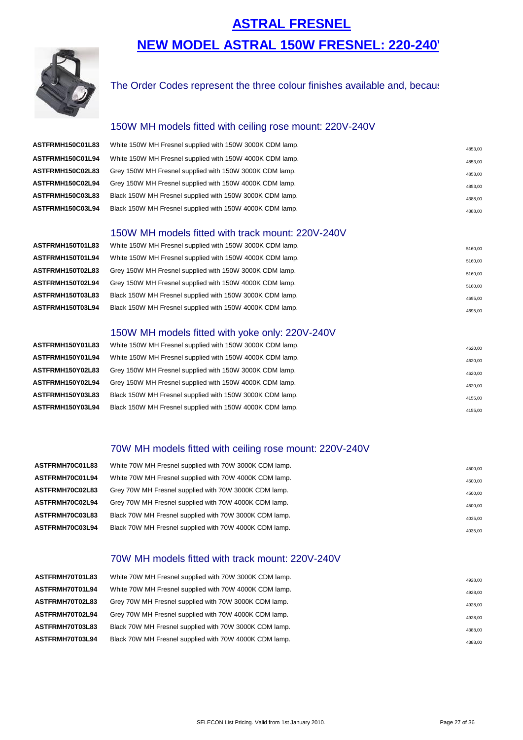## **ASTRAL FRESNEL [NEW MODEL ASTRAL 150W FRESNEL: 220](http://www.seleconlight.com/index.php?option=com_virtuemart&page=shop.product_details&flypage=flypage.p1&category_id=120&product_id=10188)-240**



#### The Order Codes represent the three colour finishes available and, because

#### 150W MH models fitted with ceiling rose mount: 220V-240V

| ASTFRMH150C01L83 | White 150W MH Fresnel supplied with 150W 3000K CDM lamp. | 4853.00 |
|------------------|----------------------------------------------------------|---------|
| ASTFRMH150C01L94 | White 150W MH Fresnel supplied with 150W 4000K CDM lamp. | 4853,00 |
| ASTFRMH150C02L83 | Grey 150W MH Fresnel supplied with 150W 3000K CDM lamp.  | 4853,00 |
| ASTFRMH150C02L94 | Grey 150W MH Fresnel supplied with 150W 4000K CDM lamp.  | 4853,00 |
| ASTFRMH150C03L83 | Black 150W MH Fresnel supplied with 150W 3000K CDM lamp. | 4388,00 |
| ASTFRMH150C03L94 | Black 150W MH Fresnel supplied with 150W 4000K CDM lamp. | 4388,00 |

#### 150W MH models fitted with track mount: 220V-240V

**ASTFRMH150T01L83** White 150W MH Fresnel supplied with 150W 3000K CDM lamp. **ASTFRMH150T01L94** White 150W MH Fresnel supplied with 150W 4000K CDM lamp. ASTFRMH150T02L83 Grey 150W MH Fresnel supplied with 150W 3000K CDM lamp. ASTFRMH150T02L94 Grey 150W MH Fresnel supplied with 150W 4000K CDM lamp. ASTFRMH150T03L83 Black 150W MH Fresnel supplied with 150W 3000K CDM lamp. ASTFRMH150T03L94 Black 150W MH Fresnel supplied with 150W 4000K CDM lamp.

#### 150W MH models fitted with yoke only: 220V-240V

ASTFRMH150Y01L83 White 150W MH Fresnel supplied with 150W 3000K CDM lamp. ASTFRMH150Y01L94 White 150W MH Fresnel supplied with 150W 4000K CDM lamp. ASTFRMH150Y02L83 Grey 150W MH Fresnel supplied with 150W 3000K CDM lamp. ASTFRMH150Y02L94 Grey 150W MH Fresnel supplied with 150W 4000K CDM lamp. ASTFRMH150Y03L83 Black 150W MH Fresnel supplied with 150W 3000K CDM lamp. ASTFRMH150Y03L94 Black 150W MH Fresnel supplied with 150W 4000K CDM lamp.

#### 70W MH models fitted with ceiling rose mount: 220V-240V

| ASTFRMH70C01L83 | White 70W MH Fresnel supplied with 70W 3000K CDM lamp. |         |
|-----------------|--------------------------------------------------------|---------|
|                 |                                                        | 4500,00 |
| ASTFRMH70C01L94 | White 70W MH Fresnel supplied with 70W 4000K CDM lamp. | 4500,00 |
| ASTFRMH70C02L83 | Grey 70W MH Fresnel supplied with 70W 3000K CDM lamp.  | 4500,00 |
| ASTFRMH70C02L94 | Grey 70W MH Fresnel supplied with 70W 4000K CDM lamp.  | 4500,00 |
| ASTFRMH70C03L83 | Black 70W MH Fresnel supplied with 70W 3000K CDM lamp. | 4035,00 |
| ASTFRMH70C03L94 | Black 70W MH Fresnel supplied with 70W 4000K CDM lamp. | 4035,00 |
|                 |                                                        |         |

#### 70W MH models fitted with track mount: 220V-240V

| ASTFRMH70T01L83 | White 70W MH Fresnel supplied with 70W 3000K CDM lamp. | 4928,00 |
|-----------------|--------------------------------------------------------|---------|
| ASTFRMH70T01L94 | White 70W MH Fresnel supplied with 70W 4000K CDM lamp. | 4928,00 |
| ASTFRMH70T02L83 | Grey 70W MH Fresnel supplied with 70W 3000K CDM lamp.  | 4928,00 |
| ASTFRMH70T02L94 | Grey 70W MH Fresnel supplied with 70W 4000K CDM lamp.  | 4928,00 |
| ASTFRMH70T03L83 | Black 70W MH Fresnel supplied with 70W 3000K CDM lamp. | 4388,00 |
| ASTFRMH70T03L94 | Black 70W MH Fresnel supplied with 70W 4000K CDM lamp. | 4388,00 |
|                 |                                                        |         |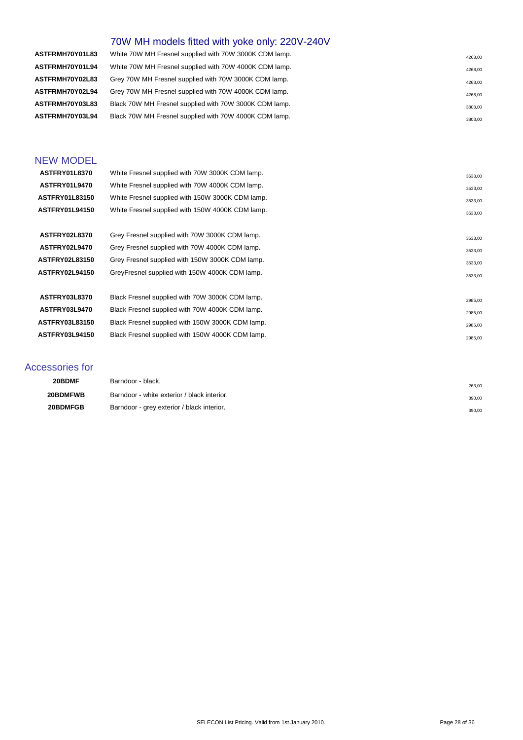## 70W MH models fitted with yoke only: 220V-240V

| ASTFRMH70Y01L83 | White 70W MH Fresnel supplied with 70W 3000K CDM lamp. | 4268.00 |
|-----------------|--------------------------------------------------------|---------|
| ASTFRMH70Y01L94 | White 70W MH Fresnel supplied with 70W 4000K CDM lamp. | 4268,00 |
| ASTFRMH70Y02L83 | Grey 70W MH Fresnel supplied with 70W 3000K CDM lamp.  | 4268,00 |
| ASTFRMH70Y02L94 | Grey 70W MH Fresnel supplied with 70W 4000K CDM lamp.  | 4268,00 |
| ASTFRMH70Y03L83 | Black 70W MH Fresnel supplied with 70W 3000K CDM lamp. | 3803,00 |
| ASTFRMH70Y03L94 | Black 70W MH Fresnel supplied with 70W 4000K CDM lamp. | 3803,00 |
|                 |                                                        |         |

#### NEW MODEL

| ASTFRY01L8370         | White Fresnel supplied with 70W 3000K CDM lamp.  | 3533,00 |
|-----------------------|--------------------------------------------------|---------|
| ASTFRY01L9470         | White Fresnel supplied with 70W 4000K CDM lamp.  | 3533,00 |
| <b>ASTFRY01L83150</b> | White Fresnel supplied with 150W 3000K CDM lamp. | 3533,00 |
| <b>ASTFRY01L94150</b> | White Fresnel supplied with 150W 4000K CDM lamp. | 3533,00 |
|                       |                                                  |         |
| ASTFRY02L8370         | Grey Fresnel supplied with 70W 3000K CDM lamp.   | 3533,00 |
| ASTFRY02L9470         | Grey Fresnel supplied with 70W 4000K CDM lamp.   | 3533,00 |
| <b>ASTFRY02L83150</b> | Grey Fresnel supplied with 150W 3000K CDM lamp.  | 3533,00 |
| <b>ASTFRY02L94150</b> | GreyFresnel supplied with 150W 4000K CDM lamp.   | 3533,00 |
|                       |                                                  |         |
| <b>ASTFRY03L8370</b>  | Black Fresnel supplied with 70W 3000K CDM lamp.  | 2985,00 |
| <b>ASTFRY03L9470</b>  | Black Fresnel supplied with 70W 4000K CDM lamp.  | 2985,00 |
| <b>ASTFRY03L83150</b> | Black Fresnel supplied with 150W 3000K CDM lamp. | 2985,00 |
| <b>ASTFRY03L94150</b> | Black Fresnel supplied with 150W 4000K CDM lamp. | 2985,00 |
|                       |                                                  |         |

#### Accessories for

| 20BDMF   | Barndoor - black.                           | 263.00 |
|----------|---------------------------------------------|--------|
| 20BDMFWB | Barndoor - white exterior / black interior. | 390,00 |
| 20BDMFGB | Barndoor - grey exterior / black interior.  | 390,00 |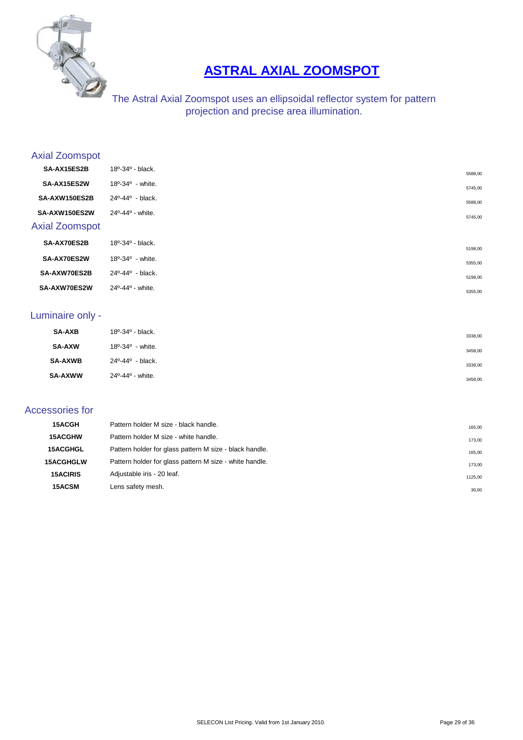

## **[ASTRAL AXIAL ZOOMSPOT](http://www.seleconlight.com/index.php?option=com_content&view=article&id=599&category_id=126)**

#### The Astral Axial Zoomspot uses an ellipsoidal reflector system for pattern projection and precise area illumination.

#### Axial Zoomspot

| SA-AX15ES2B           | 18º-34º - black.                           |         |
|-----------------------|--------------------------------------------|---------|
| SA-AX15ES2W           | $18^{\circ} - 34^{\circ}$ - white.         | 5588,00 |
| SA-AXW150ES2B         | 24º-44º - black.                           | 5745,00 |
|                       |                                            | 5588,00 |
| SA-AXW150ES2W         | 24°-44° - white.                           | 5745,00 |
| <b>Axial Zoomspot</b> |                                            |         |
| SA-AX70ES2B           | $18^{\circ} - 34^{\circ} - \text{black}$ . | 5198,00 |
| SA-AX70ES2W           | $18^{\circ} - 34^{\circ}$ - white.         | 5355,00 |
| SA-AXW70ES2B          | 24º-44º - black.                           | 5198,00 |
| SA-AXW70ES2W          | 24°-44° - white.                           | 5355,00 |

#### Luminaire only -

| <b>SA-AXB</b>  | $18^{\circ} - 34^{\circ} - \text{black}$ . | 3338,00 |
|----------------|--------------------------------------------|---------|
| <b>SA-AXW</b>  | $18^{\circ} - 34^{\circ}$ - white.         | 3458,00 |
| <b>SA-AXWB</b> | 24 <sup>o</sup> -44 <sup>o</sup> - black.  | 3338,00 |
| <b>SA-AXWW</b> | $24^{\circ} - 44^{\circ}$ - white.         | 3458,00 |

#### Accessories for

| 15ACGH           | Pattern holder M size - black handle.                   | 165,00  |
|------------------|---------------------------------------------------------|---------|
| <b>15ACGHW</b>   | Pattern holder M size - white handle.                   | 173,00  |
| <b>15ACGHGL</b>  | Pattern holder for glass pattern M size - black handle. | 165,00  |
| <b>15ACGHGLW</b> | Pattern holder for glass pattern M size - white handle. | 173,00  |
| <b>15ACIRIS</b>  | Adjustable iris - 20 leaf.                              | 1125,00 |
| 15ACSM           | Lens safety mesh.                                       | 30,00   |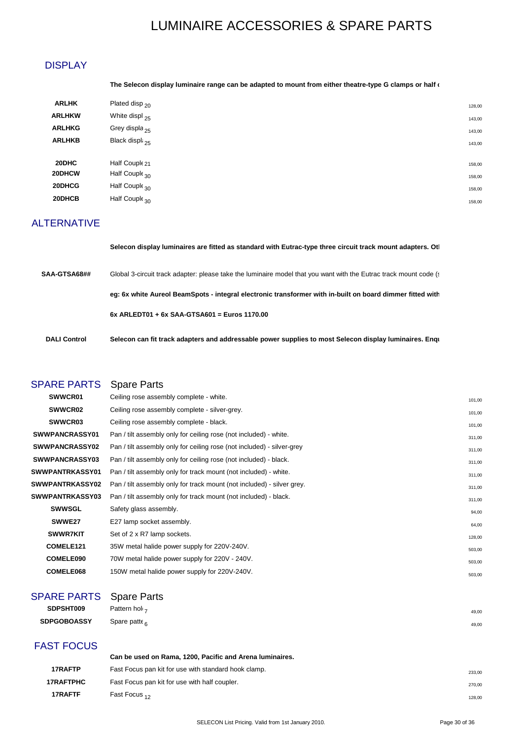## LUMINAIRE ACCESSORIES & SPARE PARTS

#### **DISPLAY**

#### The Selecon display luminaire range can be adapted to mount from either theatre-type G clamps or half **c**

| <b>ARLHK</b>  | Plated disp <sub>20</sub>  |
|---------------|----------------------------|
| <b>ARLHKW</b> | White displ <sub>25</sub>  |
| <b>ARLHKG</b> | Grey displa <sub>25</sub>  |
| <b>ARLHKB</b> | Black displa <sub>25</sub> |
|               |                            |
| 20DHC         | Half Couple 21             |
| 20DHCW        | Half Couple 30             |
| 20DHCG        | Half Couple 30             |
| 20DHCB        | Half Couple 30             |
|               |                            |

#### ALTERNATIVE

|                     | Selecon display luminaires are fitted as standard with Eutrac-type three circuit track mount adapters. Otl        |
|---------------------|-------------------------------------------------------------------------------------------------------------------|
| SAA-GTSA68##        | Global 3-circuit track adapter: please take the luminaire model that you want with the Eutrac track mount code (s |
|                     | eg: 6x white Aureol BeamSpots - integral electronic transformer with in-built on board dimmer fitted with         |
|                     | $6x$ ARLEDT01 + $6x$ SAA-GTSA601 = Euros 1170.00                                                                  |
| <b>DALI Control</b> | Selecon can fit track adapters and addressable power supplies to most Selecon display luminaires. Enqu            |

#### SPARE PARTS Spare Parts

| SWWCR01               | Ceiling rose assembly complete - white.                                | 101,00 |
|-----------------------|------------------------------------------------------------------------|--------|
| <b>SWWCR02</b>        | Ceiling rose assembly complete - silver-grey.                          | 101,00 |
| <b>SWWCR03</b>        | Ceiling rose assembly complete - black.                                | 101,00 |
| SWWPANCRASSY01        | Pan / tilt assembly only for ceiling rose (not included) - white.      | 311,00 |
| SWWPANCRASSY02        | Pan / tilt assembly only for ceiling rose (not included) - silver-grey | 311,00 |
| <b>SWWPANCRASSY03</b> | Pan / tilt assembly only for ceiling rose (not included) - black.      | 311,00 |
| SWWPANTRKASSY01       | Pan / tilt assembly only for track mount (not included) - white.       | 311,00 |
| SWWPANTRKASSY02       | Pan / tilt assembly only for track mount (not included) - silver grey. | 311,00 |
| SWWPANTRKASSY03       | Pan / tilt assembly only for track mount (not included) - black.       | 311,00 |
| <b>SWWSGL</b>         | Safety glass assembly.                                                 | 94,00  |
| SWWE27                | E27 lamp socket assembly.                                              | 64,00  |
| <b>SWWR7KIT</b>       | Set of 2 x R7 lamp sockets.                                            | 128,00 |
| COMELE <sub>121</sub> | 35W metal halide power supply for 220V-240V.                           | 503,00 |
| COMELE090             | 70W metal halide power supply for 220V - 240V.                         | 503,00 |
| COMELE068             | 150W metal halide power supply for 220V-240V.                          | 503,00 |
|                       |                                                                        |        |

## SPARE PARTS Spare Parts

| SDPSHT009          | Pattern hol –      | 49,00 |
|--------------------|--------------------|-------|
| <b>SDPGOBOASSY</b> | Spare patte $_{6}$ | 49,00 |

#### FAST FOCUS

|                  | Can be used on Rama, 1200, Pacific and Arena luminaires. |        |
|------------------|----------------------------------------------------------|--------|
| 17RAFTP          | Fast Focus pan kit for use with standard hook clamp.     | 233.00 |
| <b>17RAFTPHC</b> | Fast Focus pan kit for use with half coupler.            | 270.00 |
| 17RAFTF          | Fast Focus $_{12}$                                       | 128.00 |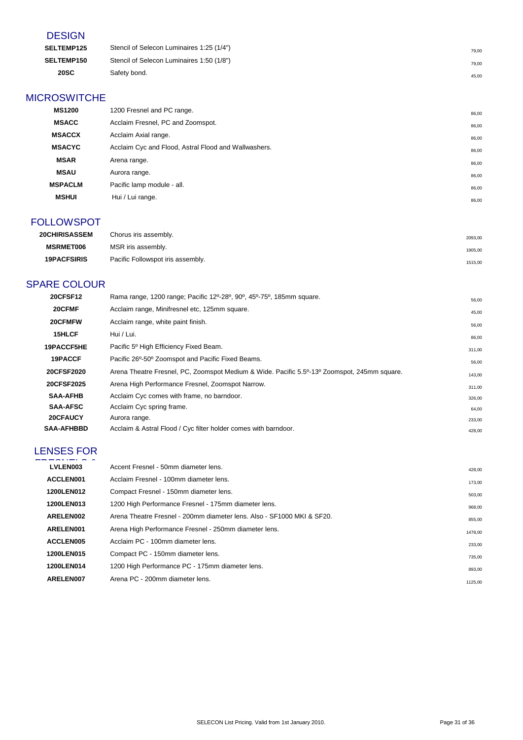#### **DESIGN**

| <b>SELTEMP125</b> | Stencil of Selecon Luminaires 1:25 (1/4") | 79.00 |
|-------------------|-------------------------------------------|-------|
| <b>SELTEMP150</b> | Stencil of Selecon Luminaires 1:50 (1/8") | 79.00 |
| <b>20SC</b>       | Safety bond.                              | 45.00 |

#### **MICROSWITCHE**

| <b>MS1200</b>  | 1200 Fresnel and PC range.                           | 86,00 |
|----------------|------------------------------------------------------|-------|
| <b>MSACC</b>   | Acclaim Fresnel, PC and Zoomspot.                    | 86,00 |
| <b>MSACCX</b>  | Acclaim Axial range.                                 | 86,00 |
| <b>MSACYC</b>  | Acclaim Cyc and Flood, Astral Flood and Wallwashers. | 86,00 |
| <b>MSAR</b>    | Arena range.                                         | 86,00 |
| <b>MSAU</b>    | Aurora range.                                        | 86,00 |
| <b>MSPACLM</b> | Pacific lamp module - all.                           | 86,00 |
| <b>MSHUI</b>   | Hui / Lui range.                                     | 86,00 |
|                |                                                      |       |

#### FOLLOWSPOT

| <b>20CHIRISASSEM</b> | Chorus iris assembly.             | 2093,00 |
|----------------------|-----------------------------------|---------|
| <b>MSRMET006</b>     | MSR iris assembly.                | 1905,00 |
| <b>19PACFSIRIS</b>   | Pacific Followspot iris assembly. | 1515,00 |

#### SPARE COLOUR

| <b>20CFSF12</b>   | Rama range, 1200 range; Pacific 12 <sup>o</sup> -28 <sup>o</sup> , 90 <sup>o</sup> , 45 <sup>o</sup> -75 <sup>o</sup> , 185mm square. | 56,00  |
|-------------------|---------------------------------------------------------------------------------------------------------------------------------------|--------|
| 20CFMF            | Acclaim range, Minifresnel etc, 125mm square.                                                                                         | 45,00  |
| 20CFMFW           | Acclaim range, white paint finish.                                                                                                    | 56,00  |
| 15HLCF            | Hui / Lui.                                                                                                                            | 86,00  |
| 19PACCF5HE        | Pacific 5 <sup>°</sup> High Efficiency Fixed Beam.                                                                                    | 311,00 |
| 19PACCF           | Pacific 26°-50° Zoomspot and Pacific Fixed Beams.                                                                                     | 56,00  |
| 20CFSF2020        | Arena Theatre Fresnel, PC, Zoomspot Medium & Wide. Pacific 5.5 <sup>0</sup> -13 <sup>0</sup> Zoomspot, 245mm square.                  | 143,00 |
| 20CFSF2025        | Arena High Performance Fresnel, Zoomspot Narrow.                                                                                      | 311,00 |
| <b>SAA-AFHB</b>   | Acclaim Cyc comes with frame, no barndoor.                                                                                            | 326,00 |
| <b>SAA-AFSC</b>   | Acclaim Cyc spring frame.                                                                                                             | 64,00  |
| 20CFAUCY          | Aurora range.                                                                                                                         | 233,00 |
| <b>SAA-AFHBBD</b> | Acclaim & Astral Flood / Cyc filter holder comes with barndoor.                                                                       | 428,00 |

## LENSES FOR

| LVLEN003   | Accent Fresnel - 50mm diameter lens.                                   | 428.00  |
|------------|------------------------------------------------------------------------|---------|
| ACCLEN001  | Acclaim Fresnel - 100mm diameter lens.                                 | 173,00  |
| 1200LEN012 | Compact Fresnel - 150mm diameter lens.                                 | 503,00  |
| 1200LEN013 | 1200 High Performance Fresnel - 175mm diameter lens.                   | 968,00  |
| ARELEN002  | Arena Theatre Fresnel - 200mm diameter lens. Also - SF1000 MKI & SF20. | 855,00  |
| ARELEN001  | Arena High Performance Fresnel - 250mm diameter lens.                  | 1478,00 |
| ACCLEN005  | Acclaim PC - 100mm diameter lens.                                      | 233,00  |
| 1200LEN015 | Compact PC - 150mm diameter lens.                                      | 735,00  |
| 1200LEN014 | 1200 High Performance PC - 175mm diameter lens.                        | 893,00  |
| ARELEN007  | Arena PC - 200mm diameter lens.                                        | 1125,00 |
|            |                                                                        |         |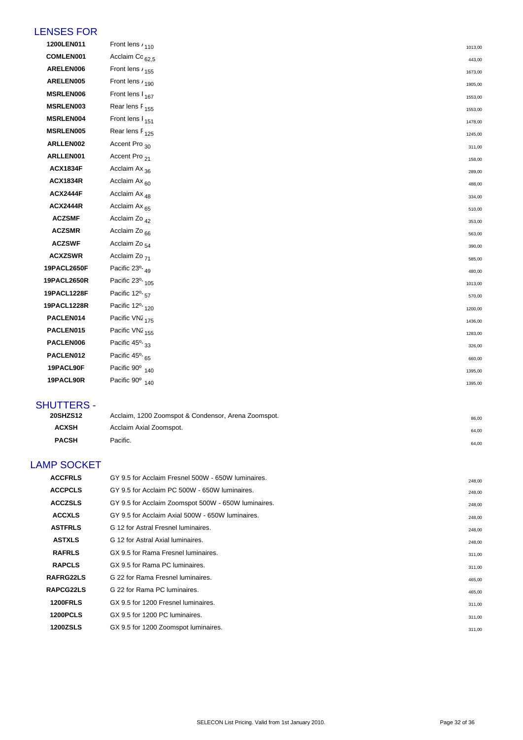#### LENSES FOR

| 1200LEN011      | Front lens / 110                        | 1013,00            |
|-----------------|-----------------------------------------|--------------------|
| COMLEN001       | Acclaim Co <sub>62,5</sub>              | 443,00             |
| ARELEN006       | Front lens / 155                        | 1673,00            |
| ARELEN005       | Front lens $r_{190}$                    | 1905,00            |
| MSRLEN006       | Front lens I <sub>167</sub>             |                    |
| MSRLEN003       | Rear lens F <sub>155</sub>              | 1553,00<br>1553,00 |
| MSRLEN004       | Front lens I <sub>151</sub>             | 1478,00            |
| MSRLEN005       | Rear lens F <sub>125</sub>              |                    |
| ARLLEN002       | Accent Pro <sub>30</sub>                | 1245,00            |
| ARLLEN001       | Accent Pro <sub>21</sub>                | 311,00<br>158,00   |
| <b>ACX1834F</b> | Acclaim Ax <sub>36</sub>                | 289,00             |
| <b>ACX1834R</b> | Acclaim Ax <sub>60</sub>                |                    |
| <b>ACX2444F</b> | Acclaim Ax <sub>48</sub>                | 488,00             |
| <b>ACX2444R</b> | Acclaim Ax <sub>65</sub>                | 334,00<br>510,00   |
| <b>ACZSMF</b>   | Acclaim Zo <sub>42</sub>                | 353,00             |
| <b>ACZSMR</b>   | Acclaim Zo <sub>66</sub>                | 563,00             |
| <b>ACZSWF</b>   | Acclaim Zo <sub>54</sub>                |                    |
| <b>ACXZSWR</b>  | Acclaim Zo <sub>71</sub>                | 390,00             |
| 19PACL2650F     | Pacific 23°-49                          | 585,00             |
| 19PACL2650R     | Pacific 23°- 105                        | 480,00             |
| 19PACL1228F     | Pacific 12 <sup>o</sup> - <sub>57</sub> | 1013,00            |
| 19PACL1228R     | Pacific 12 <sup>o</sup> -120            | 570,00             |
| PACLEN014       | Pacific VN2 <sub>175</sub>              | 1200,00            |
| PACLEN015       | Pacific VN2 <sub>155</sub>              | 1436,00            |
| PACLEN006       | Pacific 45°-33                          | 1283,00            |
| PACLEN012       | Pacific 45°-65                          | 326,00             |
| 19PACL90F       | Pacific 90° 140                         | 660,00             |
| 19PACL90R       | Pacific 90° 140                         | 1395,00            |
|                 |                                         | 1395,00            |

#### SHUTTERS -

| <b>20SHZS12</b> | Acclaim, 1200 Zoomspot & Condensor, Arena Zoomspot. | 86.00 |
|-----------------|-----------------------------------------------------|-------|
| <b>ACXSH</b>    | Acclaim Axial Zoomspot.                             | 64.00 |
| <b>PACSH</b>    | Pacific.                                            | 64.00 |

#### LAMP SOCKET

| <b>ACCFRLS</b>   | GY 9.5 for Acclaim Fresnel 500W - 650W luminaires.  | 248,00 |
|------------------|-----------------------------------------------------|--------|
| <b>ACCPCLS</b>   | GY 9.5 for Acclaim PC 500W - 650W luminaires.       | 248,00 |
| <b>ACCZSLS</b>   | GY 9.5 for Acclaim Zoomspot 500W - 650W luminaires. | 248,00 |
| <b>ACCXLS</b>    | GY 9.5 for Acclaim Axial 500W - 650W luminaires.    | 248,00 |
| <b>ASTFRLS</b>   | G 12 for Astral Fresnel luminaires.                 | 248,00 |
| <b>ASTXLS</b>    | G 12 for Astral Axial luminaires.                   | 248,00 |
| <b>RAFRLS</b>    | GX 9.5 for Rama Fresnel luminaires.                 | 311,00 |
| <b>RAPCLS</b>    | GX 9.5 for Rama PC luminaires.                      | 311,00 |
| <b>RAFRG22LS</b> | G 22 for Rama Fresnel luminaires.                   | 465,00 |
| RAPCG22LS        | G 22 for Rama PC luminaires.                        | 465,00 |
| <b>1200FRLS</b>  | GX 9.5 for 1200 Fresnel luminaires.                 | 311,00 |
| 1200PCLS         | GX 9.5 for 1200 PC luminaires.                      | 311,00 |
| <b>1200ZSLS</b>  | GX 9.5 for 1200 Zoomspot luminaires.                | 311,00 |
|                  |                                                     |        |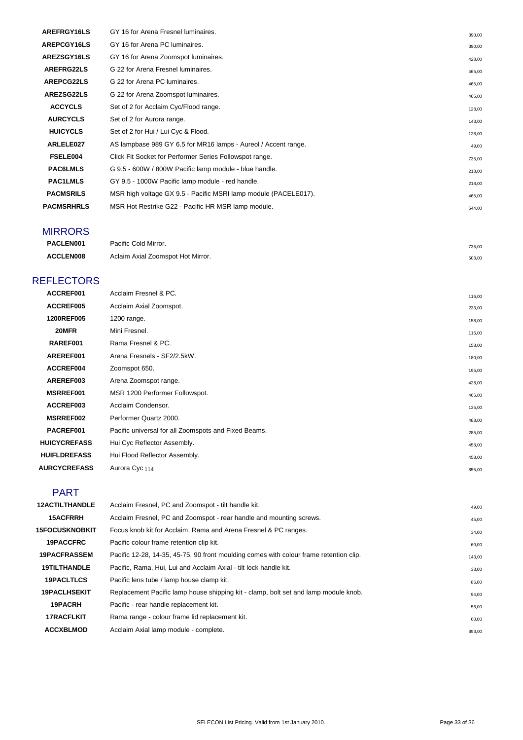| AREFRGY16LS       | GY 16 for Arena Fresnel luminaires.                             | 390,00 |
|-------------------|-----------------------------------------------------------------|--------|
| AREPCGY16LS       | GY 16 for Arena PC luminaires.                                  | 390.00 |
| AREZSGY16LS       | GY 16 for Arena Zoomspot luminaires.                            | 428,00 |
| <b>AREFRG22LS</b> | G 22 for Arena Fresnel luminaires.                              | 465,00 |
| <b>AREPCG22LS</b> | G 22 for Arena PC luminaires.                                   | 465,00 |
| <b>AREZSG22LS</b> | G 22 for Arena Zoomspot luminaires.                             | 465.00 |
| <b>ACCYCLS</b>    | Set of 2 for Acclaim Cyc/Flood range.                           | 128,00 |
| <b>AURCYCLS</b>   | Set of 2 for Aurora range.                                      | 143,00 |
| <b>HUICYCLS</b>   | Set of 2 for Hui / Lui Cyc & Flood.                             | 128,00 |
| ARLELE027         | AS lampbase 989 GY 6.5 for MR16 lamps - Aureol / Accent range.  | 49,00  |
| FSELE004          | Click Fit Socket for Performer Series Followspot range.         | 735,00 |
| <b>PAC6LMLS</b>   | G 9.5 - 600W / 800W Pacific lamp module - blue handle.          | 218,00 |
| <b>PAC1LMLS</b>   | GY 9.5 - 1000W Pacific lamp module - red handle.                | 218,00 |
| <b>PACMSRILS</b>  | MSR high voltage GX 9.5 - Pacific MSRI lamp module (PACELE017). | 465,00 |
| <b>PACMSRHRLS</b> | MSR Hot Restrike G22 - Pacific HR MSR lamp module.              | 544,00 |
|                   |                                                                 |        |

#### MIRRORS

| PACLEN001        | Pacific Cold Mirror.              | 735,00 |
|------------------|-----------------------------------|--------|
| <b>ACCLEN008</b> | Aclaim Axial Zoomspot Hot Mirror. | 503,00 |

#### **REFLECTORS**

| ACCREF001           | Acclaim Fresnel & PC.                                |        |
|---------------------|------------------------------------------------------|--------|
|                     |                                                      | 116,00 |
| ACCREF005           | Acclaim Axial Zoomspot.                              | 233,00 |
| 1200REF005          | 1200 range.                                          | 158,00 |
| 20MFR               | Mini Fresnel.                                        | 116,00 |
| RAREF001            | Rama Fresnel & PC.                                   | 158,00 |
| AREREF001           | Arena Fresnels - SF2/2.5kW.                          | 180,00 |
| ACCREF004           | Zoomspot 650.                                        | 195,00 |
| AREREF003           | Arena Zoomspot range.                                | 428,00 |
| MSRREF001           | MSR 1200 Performer Followspot.                       | 465,00 |
| ACCREF003           | Acclaim Condensor.                                   | 135,00 |
| <b>MSRREF002</b>    | Performer Quartz 2000.                               | 488,00 |
| PACREF001           | Pacific universal for all Zoomspots and Fixed Beams. | 285,00 |
| <b>HUICYCREFASS</b> | Hui Cyc Reflector Assembly.                          | 458,00 |
| <b>HUIFLDREFASS</b> | Hui Flood Reflector Assembly.                        | 458,00 |
| <b>AURCYCREFASS</b> | Aurora Cyc <sub>114</sub>                            | 855,00 |
|                     |                                                      |        |

#### PART

| <b>12ACTILTHANDLE</b> | Acclaim Fresnel, PC and Zoomspot - tilt handle kit.                                    | 49,00  |
|-----------------------|----------------------------------------------------------------------------------------|--------|
| <b>15ACFRRH</b>       | Acclaim Fresnel, PC and Zoomspot - rear handle and mounting screws.                    | 45,00  |
| <b>15FOCUSKNOBKIT</b> | Focus knob kit for Acclaim, Rama and Arena Fresnel & PC ranges.                        | 34,00  |
| <b>19PACCFRC</b>      | Pacific colour frame retention clip kit.                                               | 60,00  |
| <b>19PACFRASSEM</b>   | Pacific 12-28, 14-35, 45-75, 90 front moulding comes with colour frame retention clip. | 143,00 |
| <b>19TILTHANDLE</b>   | Pacific, Rama, Hui, Lui and Acclaim Axial - tilt lock handle kit.                      | 38,00  |
| <b>19PACLTLCS</b>     | Pacific lens tube / lamp house clamp kit.                                              | 86,00  |
| <b>19PACLHSEKIT</b>   | Replacement Pacific lamp house shipping kit - clamp, bolt set and lamp module knob.    | 94,00  |
| 19PACRH               | Pacific - rear handle replacement kit.                                                 | 56,00  |
| <b>17RACFLKIT</b>     | Rama range - colour frame lid replacement kit.                                         | 60,00  |
| <b>ACCXBLMOD</b>      | Acclaim Axial lamp module - complete.                                                  | 893,00 |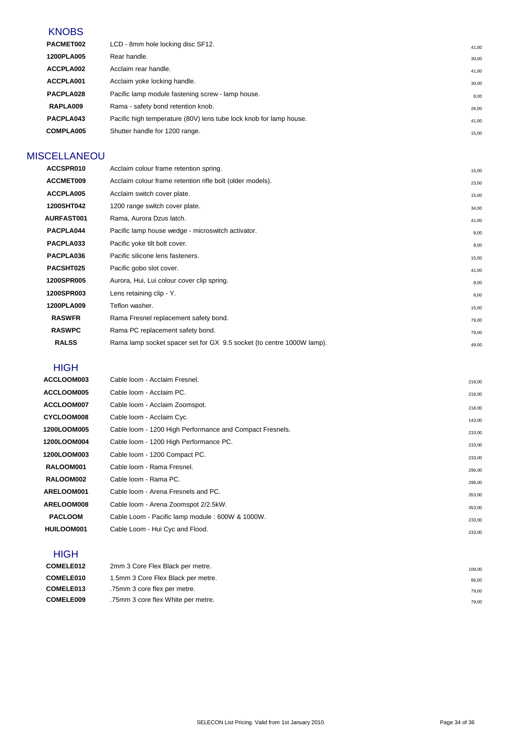#### **KNOBS**

| PACMET002  | LCD - 8mm hole locking disc SF12.                                  | 41.00 |
|------------|--------------------------------------------------------------------|-------|
| 1200PLA005 | Rear handle.                                                       | 30.00 |
| ACCPLA002  | Acclaim rear handle.                                               | 41,00 |
| ACCPLA001  | Acclaim yoke locking handle.                                       | 30,00 |
| PACPLA028  | Pacific lamp module fastening screw - lamp house.                  | 8,00  |
| RAPLA009   | Rama - safety bond retention knob.                                 | 26,00 |
| PACPLA043  | Pacific high temperature (80V) lens tube lock knob for lamp house. | 41,00 |
| COMPLA005  | Shutter handle for 1200 range.                                     | 15,00 |
|            |                                                                    |       |

#### **MISCELLANEOU**

| ACCSPR010         | Acclaim colour frame retention spring.                                | 15,00 |
|-------------------|-----------------------------------------------------------------------|-------|
| ACCMET009         | Acclaim colour frame retention rifle bolt (older models).             | 23,00 |
| ACCPLA005         | Acclaim switch cover plate.                                           | 15,00 |
| 1200SHT042        | 1200 range switch cover plate.                                        | 34,00 |
| <b>AURFAST001</b> | Rama, Aurora Dzus latch.                                              | 41,00 |
| PACPLA044         | Pacific lamp house wedge - microswitch activator.                     | 8,00  |
| PACPLA033         | Pacific yoke tilt bolt cover.                                         | 8,00  |
| PACPLA036         | Pacific silicone lens fasteners.                                      | 15,00 |
| PACSHT025         | Pacific gobo slot cover.                                              | 41,00 |
| <b>1200SPR005</b> | Aurora, Hui, Lui colour cover clip spring.                            | 8,00  |
| <b>1200SPR003</b> | Lens retaining clip - Y.                                              | 8,00  |
| 1200PLA009        | Teflon washer.                                                        | 15,00 |
| <b>RASWFR</b>     | Rama Fresnel replacement safety bond.                                 | 79,00 |
| <b>RASWPC</b>     | Rama PC replacement safety bond.                                      | 79,00 |
| <b>RALSS</b>      | Rama lamp socket spacer set for GX 9.5 socket (to centre 1000W lamp). | 49,00 |

#### **HIGH**

| ACCLOOM003        | Cable loom - Acclaim Fresnel.                            | 218,00 |
|-------------------|----------------------------------------------------------|--------|
| ACCLOOM005        | Cable loom - Acclaim PC.                                 | 218,00 |
| ACCLOOM007        | Cable loom - Acclaim Zoomspot.                           | 218,00 |
| <b>CYCLOOM008</b> | Cable Ioom - Acclaim Cyc.                                | 143,00 |
| 1200LOOM005       | Cable Ioom - 1200 High Performance and Compact Fresnels. | 233,00 |
| 1200LOOM004       | Cable loom - 1200 High Performance PC.                   | 233,00 |
| 1200LOOM003       | Cable loom - 1200 Compact PC.                            | 233,00 |
| RALOOM001         | Cable loom - Rama Fresnel.                               | 296,00 |
| RALOOM002         | Cable loom - Rama PC.                                    | 296,00 |
| ARELOOM001        | Cable loom - Arena Fresnels and PC.                      | 353,00 |
| ARELOOM008        | Cable loom - Arena Zoomspot 2/2.5kW.                     | 353,00 |
| <b>PACLOOM</b>    | Cable Loom - Pacific lamp module : 600W & 1000W.         | 233,00 |
| HUILOOM001        | Cable Loom - Hui Cyc and Flood.                          | 233,00 |
|                   |                                                          |        |

#### **HIGH**

| COMELE012        | 2mm 3 Core Flex Black per metre.   | 109.00 |
|------------------|------------------------------------|--------|
| COMELE010        | 1.5mm 3 Core Flex Black per metre. | 86.00  |
| COMELE013        | .75mm 3 core flex per metre.       | 79.00  |
| <b>COMELE009</b> | .75mm 3 core flex White per metre. | 79.00  |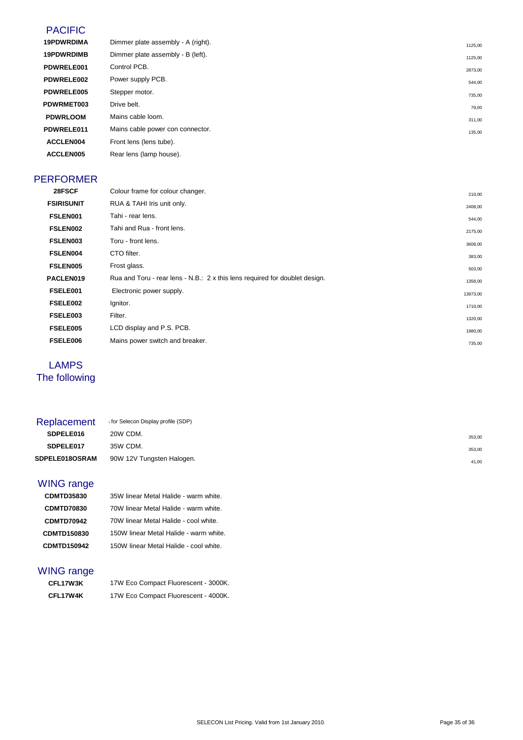#### PACIFIC

| <b>19PDWRDIMA</b> | Dimmer plate assembly - A (right). | 1125,00 |
|-------------------|------------------------------------|---------|
| <b>19PDWRDIMB</b> | Dimmer plate assembly - B (left).  | 1125,00 |
| PDWRELE001        | Control PCB.                       | 2873,00 |
| PDWRELE002        | Power supply PCB.                  | 544,00  |
| PDWRELE005        | Stepper motor.                     | 735,00  |
| <b>PDWRMET003</b> | Drive belt.                        | 79,00   |
| <b>PDWRLOOM</b>   | Mains cable loom.                  | 311,00  |
| PDWRELE011        | Mains cable power con connector.   | 135,00  |
| ACCLEN004         | Front lens (lens tube).            |         |
| ACCLEN005         | Rear lens (lamp house).            |         |
|                   |                                    |         |

#### PERFORMER

| Colour frame for colour changer.                                            | 210,00   |
|-----------------------------------------------------------------------------|----------|
| RUA & TAHI Iris unit only.                                                  | 2408,00  |
| Tahi - rear lens.                                                           | 544,00   |
| Tahi and Rua - front lens.                                                  | 2175,00  |
| Toru - front lens.                                                          | 3608,00  |
| CTO filter.                                                                 | 383,00   |
| Frost glass.                                                                | 503,00   |
| Rua and Toru - rear lens - N.B.: 2 x this lens required for doublet design. | 1358,00  |
| Electronic power supply.                                                    | 13973,00 |
| Ignitor.                                                                    | 1710,00  |
| Filter.                                                                     | 1320,00  |
| LCD display and P.S. PCB.                                                   | 1980,00  |
| Mains power switch and breaker.                                             | 735,00   |
|                                                                             |          |

#### LAMPS The following

| Replacement           | for Selecon Display profile (SDP) |        |
|-----------------------|-----------------------------------|--------|
| SDPELE016             | 20W CDM.                          | 353,00 |
| SDPELE017             | 35W CDM.                          | 353,00 |
| <b>SDPELE018OSRAM</b> | 90W 12V Tungsten Halogen.         | 41,00  |

#### WING range

| <b>CDMTD35830</b>  | 35W linear Metal Halide - warm white.  |
|--------------------|----------------------------------------|
| <b>CDMTD70830</b>  | 70W linear Metal Halide - warm white.  |
| <b>CDMTD70942</b>  | 70W linear Metal Halide - cool white.  |
| <b>CDMTD150830</b> | 150W linear Metal Halide - warm white. |
| <b>CDMTD150942</b> | 150W linear Metal Halide - cool white. |

#### WING range

| <b>CFL17W3K</b> | 17W Eco Compact Fluorescent - 3000K. |
|-----------------|--------------------------------------|
| <b>CFL17W4K</b> | 17W Eco Compact Fluorescent - 4000K. |